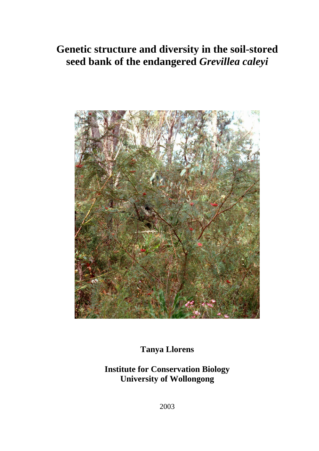# **Genetic structure and diversity in the soil-stored seed bank of the endangered** *Grevillea caleyi*



**Tanya Llorens** 

**Institute for Conservation Biology University of Wollongong** 

2003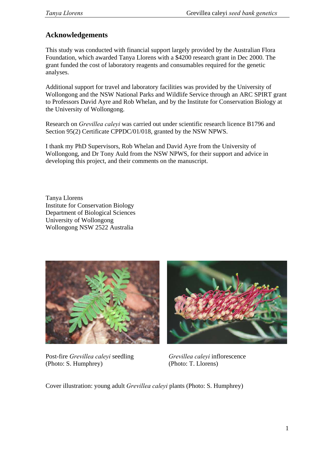# **Acknowledgements**

This study was conducted with financial support largely provided by the Australian Flora Foundation, which awarded Tanya Llorens with a \$4200 research grant in Dec 2000. The grant funded the cost of laboratory reagents and consumables required for the genetic analyses.

Additional support for travel and laboratory facilities was provided by the University of Wollongong and the NSW National Parks and Wildlife Service through an ARC SPIRT grant to Professors David Ayre and Rob Whelan, and by the Institute for Conservation Biology at the University of Wollongong.

Research on *Grevillea caleyi* was carried out under scientific research licence B1796 and Section 95(2) Certificate CPPDC/01/018, granted by the NSW NPWS.

I thank my PhD Supervisors, Rob Whelan and David Ayre from the University of Wollongong, and Dr Tony Auld from the NSW NPWS, for their support and advice in developing this project, and their comments on the manuscript.

Tanya Llorens Institute for Conservation Biology Department of Biological Sciences University of Wollongong Wollongong NSW 2522 Australia



Post-fire *Grevillea caleyi* seedling *Grevillea caleyi* inflorescence (Photo: S. Humphrey) (Photo: T. Llorens)



Cover illustration: young adult *Grevillea caleyi* plants (Photo: S. Humphrey)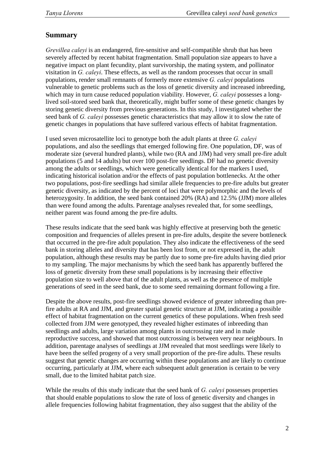# **Summary**

*Grevillea caleyi* is an endangered, fire-sensitive and self-compatible shrub that has been severely affected by recent habitat fragmentation. Small population size appears to have a negative impact on plant fecundity, plant survivorship, the mating system, and pollinator visitation in *G. caleyi*. These effects, as well as the random processes that occur in small populations, render small remnants of formerly more extensive *G. caleyi* populations vulnerable to genetic problems such as the loss of genetic diversity and increased inbreeding, which may in turn cause reduced population viability. However, *G. caleyi* possesses a longlived soil-stored seed bank that, theoretically, might buffer some of these genetic changes by storing genetic diversity from previous generations. In this study, I investigated whether the seed bank of *G. caleyi* possesses genetic characteristics that may allow it to slow the rate of genetic changes in populations that have suffered various effects of habitat fragmentation.

I used seven microsatellite loci to genotype both the adult plants at three *G. caleyi* populations, and also the seedlings that emerged following fire. One population, DF, was of moderate size (several hundred plants), while two (RA and JJM) had very small pre-fire adult populations (5 and 14 adults) but over 100 post-fire seedlings. DF had no genetic diversity among the adults or seedlings, which were genetically identical for the markers I used, indicating historical isolation and/or the effects of past population bottlenecks. At the other two populations, post-fire seedlings had similar allele frequencies to pre-fire adults but greater genetic diversity, as indicated by the percent of loci that were polymorphic and the levels of heterozygosity. In addition, the seed bank contained 20% (RA) and 12.5% (JJM) more alleles than were found among the adults. Parentage analyses revealed that, for some seedlings, neither parent was found among the pre-fire adults.

These results indicate that the seed bank was highly effective at preserving both the genetic composition and frequencies of alleles present in pre-fire adults, despite the severe bottleneck that occurred in the pre-fire adult population. They also indicate the effectiveness of the seed bank in storing alleles and diversity that has been lost from, or not expressed in, the adult population, although these results may be partly due to some pre-fire adults having died prior to my sampling. The major mechanisms by which the seed bank has apparently buffered the loss of genetic diversity from these small populations is by increasing their effective population size to well above that of the adult plants, as well as the presence of multiple generations of seed in the seed bank, due to some seed remaining dormant following a fire.

Despite the above results, post-fire seedlings showed evidence of greater inbreeding than prefire adults at RA and JJM, and greater spatial genetic structure at JJM, indicating a possible effect of habitat fragmentation on the current genetics of these populations. When fresh seed collected from JJM were genotyped, they revealed higher estimates of inbreeding than seedlings and adults, large variation among plants in outcrossing rate and in male reproductive success, and showed that most outcrossing is between very near neighbours. In addition, parentage analyses of seedlings at JJM revealed that most seedlings were likely to have been the selfed progeny of a very small proportion of the pre-fire adults. These results suggest that genetic changes are occurring within these populations and are likely to continue occurring, particularly at JJM, where each subsequent adult generation is certain to be very small, due to the limited habitat patch size.

While the results of this study indicate that the seed bank of *G. caleyi* possesses properties that should enable populations to slow the rate of loss of genetic diversity and changes in allele frequencies following habitat fragmentation, they also suggest that the ability of the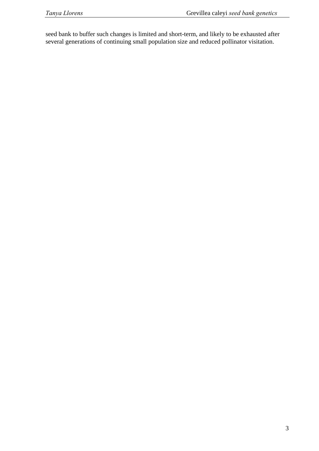seed bank to buffer such changes is limited and short-term, and likely to be exhausted after several generations of continuing small population size and reduced pollinator visitation.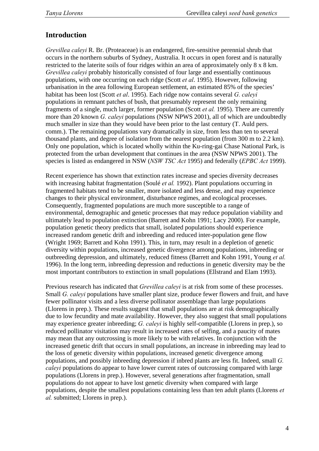# **Introduction**

*Grevillea caleyi* R. Br. (Proteaceae) is an endangered, fire-sensitive perennial shrub that occurs in the northern suburbs of Sydney, Australia. It occurs in open forest and is naturally restricted to the laterite soils of four ridges within an area of approximately only 8 x 8 km. *Grevillea caleyi* probably historically consisted of four large and essentially continuous populations, with one occurring on each ridge (Scott *et al*. 1995). However, following urbanisation in the area following European settlement, an estimated 85% of the species' habitat has been lost (Scott *et al*. 1995). Each ridge now contains several *G. caleyi* populations in remnant patches of bush, that presumably represent the only remaining fragments of a single, much larger, former population (Scott *et al.* 1995). There are currently more than 20 known *G. caleyi* populations (NSW NPWS 2001), all of which are undoubtedly much smaller in size than they would have been prior to the last century (T. Auld pers. comm.). The remaining populations vary dramatically in size, from less than ten to several thousand plants, and degree of isolation from the nearest population (from 300 m to 2.2 km). Only one population, which is located wholly within the Ku-ring-gai Chase National Park, is protected from the urban development that continues in the area (NSW NPWS 2001). The species is listed as endangered in NSW (*NSW TSC Act* 1995) and federally (*EPBC Act* 1999).

Recent experience has shown that extinction rates increase and species diversity decreases with increasing habitat fragmentation (Soulé *et al.* 1992). Plant populations occurring in fragmented habitats tend to be smaller, more isolated and less dense, and may experience changes to their physical environment, disturbance regimes, and ecological processes. Consequently, fragmented populations are much more susceptible to a range of environmental, demographic and genetic processes that may reduce population viability and ultimately lead to population extinction (Barrett and Kohn 1991; Lacy 2000). For example, population genetic theory predicts that small, isolated populations should experience increased random genetic drift and inbreeding and reduced inter-population gene flow (Wright 1969; Barrett and Kohn 1991). This, in turn, may result in a depletion of genetic diversity within populations, increased genetic divergence among populations, inbreeding or outbreeding depression, and ultimately, reduced fitness (Barrett and Kohn 1991, Young *et al.* 1996). In the long term, inbreeding depression and reductions in genetic diversity may be the most important contributors to extinction in small populations (Ellstrand and Elam 1993).

Previous research has indicated that *Grevillea caleyi* is at risk from some of these processes. Small *G. caleyi* populations have smaller plant size, produce fewer flowers and fruit, and have fewer pollinator visits and a less diverse pollinator assemblage than large populations (Llorens in prep.). These results suggest that small populations are at risk demographically due to low fecundity and mate availability. However, they also suggest that small populations may experience greater inbreeding; *G. caleyi* is highly self-compatible (Llorens in prep.), so reduced pollinator visitation may result in increased rates of selfing, and a paucity of mates may mean that any outcrossing is more likely to be with relatives. In conjunction with the increased genetic drift that occurs in small populations, an increase in inbreeding may lead to the loss of genetic diversity within populations, increased genetic divergence among populations, and possibly inbreeding depression if inbred plants are less fit. Indeed, small *G. caleyi* populations do appear to have lower current rates of outcrossing compared with large populations (Llorens in prep.). However, several generations after fragmentation, small populations do not appear to have lost genetic diversity when compared with large populations, despite the smallest populations containing less than ten adult plants (Llorens *et al.* submitted; Llorens in prep.).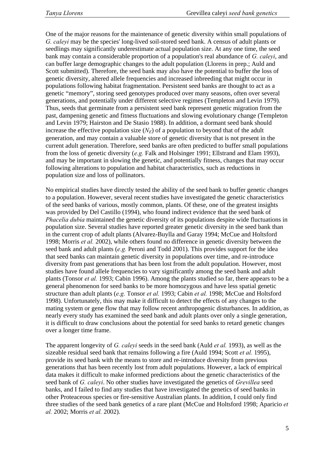One of the major reasons for the maintenance of genetic diversity within small populations of *G. caleyi* may be the species' long-lived soil-stored seed bank. A census of adult plants or seedlings may significantly underestimate actual population size. At any one time, the seed bank may contain a considerable proportion of a population's real abundance of *G. caleyi*, and can buffer large demographic changes to the adult population (Llorens in prep.; Auld and Scott submitted). Therefore, the seed bank may also have the potential to buffer the loss of genetic diversity, altered allele frequencies and increased inbreeding that might occur in populations following habitat fragmentation. Persistent seed banks are thought to act as a genetic "memory", storing seed genotypes produced over many seasons, often over several generations, and potentially under different selective regimes (Templeton and Levin 1979). Thus, seeds that germinate from a persistent seed bank represent genetic migration from the past, dampening genetic and fitness fluctuations and slowing evolutionary change (Templeton and Levin 1979; Hairston and De Stasio 1988). In addition, a dormant seed bank should increase the effective population size  $(N_E)$  of a population to beyond that of the adult generation, and may contain a valuable store of genetic diversity that is not present in the current adult generation. Therefore, seed banks are often predicted to buffer small populations from the loss of genetic diversity (*e.g.* Falk and Holsinger 1991; Ellstrand and Elam 1993), and may be important in slowing the genetic, and potentially fitness, changes that may occur following alterations to population and habitat characteristics, such as reductions in population size and loss of pollinators.

No empirical studies have directly tested the ability of the seed bank to buffer genetic changes to a population. However, several recent studies have investigated the genetic characteristics of the seed banks of various, mostly common, plants. Of these, one of the greatest insights was provided by Del Castillo (1994), who found indirect evidence that the seed bank of *Phacelia dubia* maintained the genetic diversity of its populations despite wide fluctuations in population size. Several studies have reported greater genetic diversity in the seed bank than in the current crop of adult plants (Alvarez-Buylla and Garay 1994; McCue and Holtsford 1998; Morris *et al.* 2002), while others found no difference in genetic diversity between the seed bank and adult plants (*e.g.* Peroni and Todd 2001). This provides support for the idea that seed banks can maintain genetic diversity in populations over time, and re-introduce diversity from past generations that has been lost from the adult population. However, most studies have found allele frequencies to vary significantly among the seed bank and adult plants (Tonsor *et al.* 1993; Cabin 1996). Among the plants studied so far, there appears to be a general phenomenon for seed banks to be more homozygous and have less spatial genetic structure than adult plants (*e.g.* Tonsor *et al.* 1993; Cabin *et al.* 1998; McCue and Holtsford 1998). Unfortunately, this may make it difficult to detect the effects of any changes to the mating system or gene flow that may follow recent anthropogenic disturbances. In addition, as nearly every study has examined the seed bank and adult plants over only a single generation, it is difficult to draw conclusions about the potential for seed banks to retard genetic changes over a longer time frame.

The apparent longevity of *G. caleyi* seeds in the seed bank (Auld *et al.* 1993), as well as the sizeable residual seed bank that remains following a fire (Auld 1994; Scott *et al.* 1995), provide its seed bank with the means to store and re-introduce diversity from previous generations that has been recently lost from adult populations. However, a lack of empirical data makes it difficult to make informed predictions about the genetic characteristics of the seed bank of *G. caleyi*. No other studies have investigated the genetics of *Grevillea* seed banks, and I failed to find any studies that have investigated the genetics of seed banks in other Proteaceous species or fire-sensitive Australian plants. In addition, I could only find three studies of the seed bank genetics of a rare plant (McCue and Holtsford 1998; Aparicio *et al.* 2002; Morris *et al.* 2002).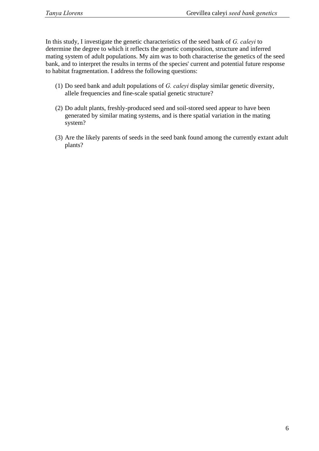In this study, I investigate the genetic characteristics of the seed bank of *G. caleyi* to determine the degree to which it reflects the genetic composition, structure and inferred mating system of adult populations. My aim was to both characterise the genetics of the seed bank, and to interpret the results in terms of the species' current and potential future response to habitat fragmentation. I address the following questions:

- (1) Do seed bank and adult populations of *G. caleyi* display similar genetic diversity, allele frequencies and fine-scale spatial genetic structure?
- (2) Do adult plants, freshly-produced seed and soil-stored seed appear to have been generated by similar mating systems, and is there spatial variation in the mating system?
- (3) Are the likely parents of seeds in the seed bank found among the currently extant adult plants?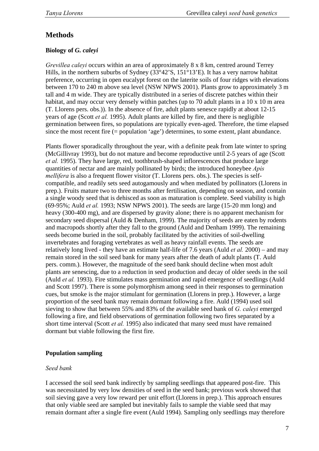# **Methods**

# **Biology of** *G. caleyi*

*Grevillea caleyi* occurs within an area of approximately 8 x 8 km, centred around Terrey Hills, in the northern suburbs of Sydney (33°42'S, 151°13'E). It has a very narrow habitat preference, occurring in open eucalypt forest on the laterite soils of four ridges with elevations between 170 to 240 m above sea level (NSW NPWS 2001). Plants grow to approximately 3 m tall and 4 m wide. They are typically distributed in a series of discrete patches within their habitat, and may occur very densely within patches (up to 70 adult plants in a 10 x 10 m area (T. Llorens pers. obs.)). In the absence of fire, adult plants senesce rapidly at about 12-15 years of age (Scott *et al.* 1995). Adult plants are killed by fire, and there is negligible germination between fires, so populations are typically even-aged. Therefore, the time elapsed since the most recent fire (= population 'age') determines, to some extent, plant abundance.

Plants flower sporadically throughout the year, with a definite peak from late winter to spring (McGillivray 1993), but do not mature and become reproductive until 2-5 years of age (Scott *et al.* 1995). They have large, red, toothbrush-shaped inflorescences that produce large quantities of nectar and are mainly pollinated by birds; the introduced honeybee *Apis mellifera* is also a frequent flower visitor (T. Llorens pers. obs.). The species is selfcompatible, and readily sets seed autogamously and when mediated by pollinators (Llorens in prep.). Fruits mature two to three months after fertilisation, depending on season, and contain a single woody seed that is dehisced as soon as maturation is complete. Seed viability is high (69-95%; Auld *et al.* 1993; NSW NPWS 2001). The seeds are large (15-20 mm long) and heavy (300-400 mg), and are dispersed by gravity alone; there is no apparent mechanism for secondary seed dispersal (Auld & Denham, 1999). The majority of seeds are eaten by rodents and macropods shortly after they fall to the ground (Auld and Denham 1999). The remaining seeds become buried in the soil, probably facilitated by the activities of soil-dwelling invertebrates and foraging vertebrates as well as heavy rainfall events. The seeds are relatively long lived - they have an estimate half-life of 7.6 years (Auld *et al.* 2000) – and may remain stored in the soil seed bank for many years after the death of adult plants (T. Auld pers. comm.). However, the magnitude of the seed bank should decline when most adult plants are senescing, due to a reduction in seed production and decay of older seeds in the soil (Auld *et al.* 1993). Fire stimulates mass germination and rapid emergence of seedlings (Auld and Scott 1997). There is some polymorphism among seed in their responses to germination cues, but smoke is the major stimulant for germination (Llorens in prep.). However, a large proportion of the seed bank may remain dormant following a fire. Auld (1994) used soil sieving to show that between 55% and 83% of the available seed bank of *G. caleyi* emerged following a fire, and field observations of germination following two fires separated by a short time interval (Scott *et al.* 1995) also indicated that many seed must have remained dormant but viable following the first fire.

# **Population sampling**

## *Seed bank*

I accessed the soil seed bank indirectly by sampling seedlings that appeared post-fire. This was necessitated by very low densities of seed in the seed bank; previous work showed that soil sieving gave a very low reward per unit effort (Llorens in prep.). This approach ensures that only viable seed are sampled but inevitably fails to sample the viable seed that may remain dormant after a single fire event (Auld 1994). Sampling only seedlings may therefore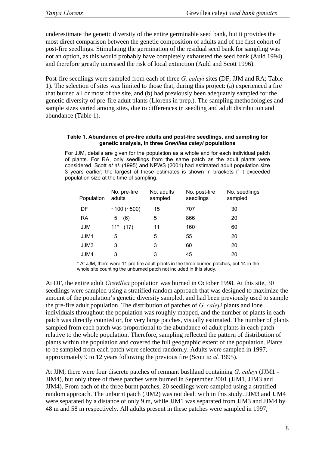underestimate the genetic diversity of the entire germinable seed bank, but it provides the most direct comparison between the genetic composition of adults and of the first cohort of post-fire seedlings. Stimulating the germination of the residual seed bank for sampling was not an option, as this would probably have completely exhausted the seed bank (Auld 1994) and therefore greatly increased the risk of local extinction (Auld and Scott 1996).

Post-fire seedlings were sampled from each of three *G. caleyi* sites (DF, JJM and RA; Table 1). The selection of sites was limited to those that, during this project: (a) experienced a fire that burned all or most of the site, and (b) had previously been adequately sampled for the genetic diversity of pre-fire adult plants (Llorens in prep.). The sampling methodologies and sample sizes varied among sites, due to differences in seedling and adult distribution and abundance (Table 1).

#### **Table 1. Abundance of pre-fire adults and post-fire seedlings, and sampling for genetic analysis, in three** *Grevillea caleyi* **populations**

For JJM, details are given for the population as a whole and for each individual patch of plants. For RA, only seedlings from the same patch as the adult plants were considered. Scott *et al.* (1995) and NPWS (2001) had estimated adult population size 3 years earlier; the largest of these estimates is shown in brackets if it exceeded population size at the time of sampling.

| Population | No. pre-fire<br>adults | No. adults<br>sampled | No. post-fire<br>seedlings | No. seedlings<br>sampled |
|------------|------------------------|-----------------------|----------------------------|--------------------------|
| DF         | $~100~(^{+}500)$       | 15                    | 707                        | 30                       |
| <b>RA</b>  | (6)<br>5               | 5                     | 866                        | 20                       |
| JJM        | $11^*$<br>(17)         | 11                    | 160                        | 60                       |
| JJM1       | 5                      | 5                     | 55                         | 20                       |
| JJM3       | 3                      | 3                     | 60                         | 20                       |
| JJM4       | 3                      | 3                     | 45                         | 20                       |
|            |                        |                       |                            |                          |

\* At JJM, there were 11 pre-fire adult plants in the three burned patches, but 14 in the whole site counting the unburned patch not included in this study.

At DF, the entire adult *Grevillea* population was burned in October 1998. At this site, 30 seedlings were sampled using a stratified random approach that was designed to maximize the amount of the population's genetic diversity sampled, and had been previously used to sample the pre-fire adult population. The distribution of patches of *G. caleyi* plants and lone individuals throughout the population was roughly mapped, and the number of plants in each patch was directly counted or, for very large patches, visually estimated. The number of plants sampled from each patch was proportional to the abundance of adult plants in each patch relative to the whole population. Therefore, sampling reflected the pattern of distribution of plants within the population and covered the full geographic extent of the population. Plants to be sampled from each patch were selected randomly. Adults were sampled in 1997, approximately 9 to 12 years following the previous fire (Scott *et al.* 1995).

At JJM, there were four discrete patches of remnant bushland containing *G. caleyi* (JJM1 - JJM4), but only three of these patches were burned in September 2001 (JJM1, JJM3 and JJM4). From each of the three burnt patches, 20 seedlings were sampled using a stratified random approach. The unburnt patch (JJM2) was not dealt with in this study. JJM3 and JJM4 were separated by a distance of only 9 m, while JJM1 was separated from JJM3 and JJM4 by 48 m and 58 m respectively. All adults present in these patches were sampled in 1997,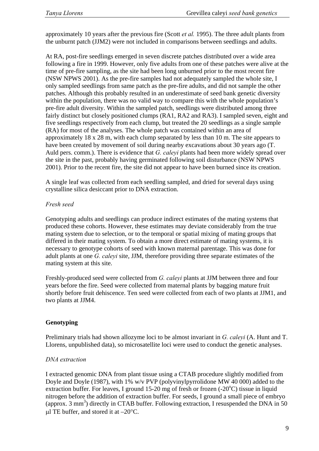approximately 10 years after the previous fire (Scott *et al.* 1995). The three adult plants from the unburnt patch (JJM2) were not included in comparisons between seedlings and adults.

At RA, post-fire seedlings emerged in seven discrete patches distributed over a wide area following a fire in 1999. However, only five adults from one of these patches were alive at the time of pre-fire sampling, as the site had been long unburned prior to the most recent fire (NSW NPWS 2001). As the pre-fire samples had not adequately sampled the whole site, I only sampled seedlings from same patch as the pre-fire adults, and did not sample the other patches. Although this probably resulted in an underestimate of seed bank genetic diversity within the population, there was no valid way to compare this with the whole population's pre-fire adult diversity. Within the sampled patch, seedlings were distributed among three fairly distinct but closely positioned clumps (RA1, RA2 and RA3). I sampled seven, eight and five seedlings respectively from each clump, but treated the 20 seedlings as a single sample (RA) for most of the analyses. The whole patch was contained within an area of approximately 18 x 28 m, with each clump separated by less than 10 m. The site appears to have been created by movement of soil during nearby excavations about 30 years ago (T. Auld pers. comm.). There is evidence that *G. caleyi* plants had been more widely spread over the site in the past, probably having germinated following soil disturbance (NSW NPWS 2001). Prior to the recent fire, the site did not appear to have been burned since its creation.

A single leaf was collected from each seedling sampled, and dried for several days using crystalline silica desiccant prior to DNA extraction.

## *Fresh seed*

Genotyping adults and seedlings can produce indirect estimates of the mating systems that produced these cohorts. However, these estimates may deviate considerably from the true mating system due to selection, or to the temporal or spatial mixing of mating groups that differed in their mating system. To obtain a more direct estimate of mating systems, it is necessary to genotype cohorts of seed with known maternal parentage. This was done for adult plants at one *G. caleyi* site, JJM, therefore providing three separate estimates of the mating system at this site.

Freshly-produced seed were collected from *G. caleyi* plants at JJM between three and four years before the fire. Seed were collected from maternal plants by bagging mature fruit shortly before fruit dehiscence. Ten seed were collected from each of two plants at JJM1, and two plants at JJM4.

# **Genotyping**

Preliminary trials had shown allozyme loci to be almost invariant in *G. caleyi* (A. Hunt and T. Llorens, unpublished data), so microsatellite loci were used to conduct the genetic analyses.

## *DNA extraction*

I extracted genomic DNA from plant tissue using a CTAB procedure slightly modified from Doyle and Doyle (1987), with 1% w/v PVP (polyvinylpyrrolidone MW 40 000) added to the extraction buffer. For leaves, I ground  $15{\text -}20$  mg of fresh or frozen (-20 $\textdegree$ C) tissue in liquid nitrogen before the addition of extraction buffer. For seeds, I ground a small piece of embryo (approx. 3 mm<sup>3</sup>) directly in CTAB buffer. Following extraction, I resuspended the DNA in 50  $\mu$ l TE buffer, and stored it at  $-20^{\circ}$ C.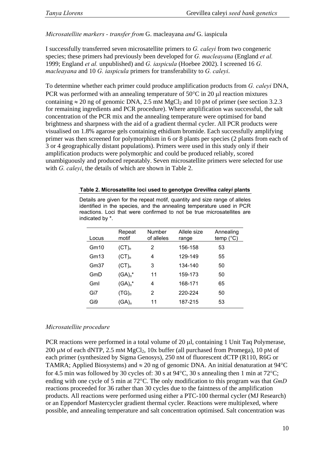*Microsatellite markers - transfer from* G. macleayana *and* G. iaspicula

I successfully transferred seven microsatellite primers to *G. caleyi* from two congeneric species; these primers had previously been developed for *G. macleayana* (England *et al.* 1999; England *et al.* unpublished) and *G. iaspicula* (Hoebee 2002). I screened 16 *G. macleayana* and 10 *G. iaspicula* primers for transferability to *G. caleyi*.

To determine whether each primer could produce amplification products from *G. caleyi* DNA, PCR was performed with an annealing temperature of  $50^{\circ}$ C in 20  $\mu$ l reaction mixtures containing  $\approx 20$  ng of genomic DNA, 2.5 mM MgCl<sub>2</sub> and 10 pM of primer (see section 3.2.3) for remaining ingredients and PCR procedure). Where amplification was successful, the salt concentration of the PCR mix and the annealing temperature were optimised for band brightness and sharpness with the aid of a gradient thermal cycler. All PCR products were visualised on 1.8% agarose gels containing ethidium bromide. Each successfully amplifying primer was then screened for polymorphism in 6 or 8 plants per species (2 plants from each of 3 or 4 geographically distant populations). Primers were used in this study only if their amplification products were polymorphic and could be produced reliably, scored unambiguously and produced repeatably. Seven microsatellite primers were selected for use with *G. caleyi*, the details of which are shown in Table 2.

|       | Repeat     | Number     | Allele size | Annealing          |
|-------|------------|------------|-------------|--------------------|
| Locus | motif      | of alleles | range       | temp $(^{\circ}C)$ |
| Gm10  | $(CT)_{n}$ | 2          | 156-158     | 53                 |
| Gm13  | $(CT)_n$   | 4          | 129-149     | 55                 |
| Gm37  | $(CT)_n$   | 3          | 134-140     | 50                 |
| GmD   | $(GA)n$ *  | 11         | 159-173     | 50                 |
| Gml   | $(GA)n$ *  | 4          | 168-171     | 65                 |
| Gi7   | $(TG)_{n}$ | 2          | 220-224     | 50                 |
| Gi9   | $(GA)_n$   | 11         | 187-215     | 53                 |

|  |  |  | Table 2. Microsatellite loci used to genotype Grevillea caleyi plants      |  |  |  |
|--|--|--|----------------------------------------------------------------------------|--|--|--|
|  |  |  | Details are given for the repeat motif, quantity and size range of alleles |  |  |  |

identified in the species, and the annealing temperature used in PCR reactions. Loci that were confirmed to not be true microsatellites are

#### *Microsatellite procedure*

indicated by \*.

PCR reactions were performed in a total volume of 20 µl, containing 1 Unit Taq Polymerase, 200  $\mu$ M of each dNTP, 2.5 mM MgCl<sub>2</sub>, 10x buffer (all purchased from Promega), 10 pM of each primer (synthesized by Sigma Genosys), 250 nM of fluorescent dCTP (R110, R6G or TAMRA; Applied Biosystems) and  $\approx 20$  ng of genomic DNA. An initial denaturation at 94 °C for 4.5 min was followed by 30 cycles of: 30 s at  $94^{\circ}$ C, 30 s annealing then 1 min at 72 $^{\circ}$ C; ending with one cycle of 5 min at 72°C. The only modification to this program was that *GmD*  reactions proceeded for 36 rather than 30 cycles due to the faintness of the amplification products. All reactions were performed using either a PTC-100 thermal cycler (MJ Research) or an Eppendorf Mastercycler gradient thermal cycler. Reactions were multiplexed, where possible, and annealing temperature and salt concentration optimised. Salt concentration was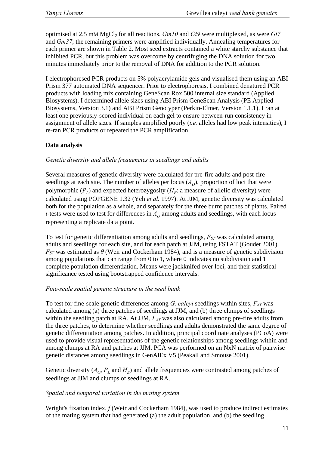optimised at 2.5 mM MgCl2 for all reactions. *Gm10* and *Gi9* were multiplexed, as were *Gi7*  and *Gm37*; the remaining primers were amplified individually. Annealing temperatures for each primer are shown in Table 2. Most seed extracts contained a white starchy substance that inhibited PCR, but this problem was overcome by centrifuging the DNA solution for two minutes immediately prior to the removal of DNA for addition to the PCR solution.

I electrophoresed PCR products on 5% polyacrylamide gels and visualised them using an ABI Prism 377 automated DNA sequencer. Prior to electrophoresis, I combined denatured PCR products with loading mix containing GeneScan Rox 500 internal size standard (Applied Biosystems). I determined allele sizes using ABI Prism GeneScan Analysis (PE Applied Biosystems, Version 3.1) and ABI Prism Genotyper (Perkin-Elmer, Version 1.1.1). I ran at least one previously-scored individual on each gel to ensure between-run consistency in assignment of allele sizes. If samples amplified poorly (*i.e.* alleles had low peak intensities), I re-ran PCR products or repeated the PCR amplification.

#### **Data analysis**

#### *Genetic diversity and allele frequencies in seedlings and adults*

Several measures of genetic diversity were calculated for pre-fire adults and post-fire seedlings at each site. The number of alleles per locus  $(A<sub>O</sub>)$ , proportion of loci that were polymorphic  $(P_L)$  and expected heterozygosity  $(H_F:$  a measure of allelic diversity) were calculated using POPGENE 1.32 (Yeh *et al.* 1997). At JJM, genetic diversity was calculated both for the population as a whole, and separately for the three burnt patches of plants. Paired *t*-tests were used to test for differences in  $A<sub>O</sub>$  among adults and seedlings, with each locus representing a replicate data point.

To test for genetic differentiation among adults and seedlings,  $F_{ST}$  was calculated among adults and seedlings for each site, and for each patch at JJM, using FSTAT (Goudet 2001).  $F_{ST}$  was estimated as  $\theta$  (Weir and Cockerham 1984), and is a measure of genetic subdivision among populations that can range from 0 to 1, where 0 indicates no subdivision and 1 complete population differentiation. Means were jackknifed over loci, and their statistical significance tested using bootstrapped confidence intervals.

#### *Fine-scale spatial genetic structure in the seed bank*

To test for fine-scale genetic differences among *G. caleyi* seedlings within sites,  $F_{ST}$  was calculated among (a) three patches of seedlings at JJM, and (b) three clumps of seedlings within the seedling patch at RA. At JJM,  $F_{ST}$  was also calculated among pre-fire adults from the three patches, to determine whether seedlings and adults demonstrated the same degree of genetic differentiation among patches. In addition, principal coordinate analyses (PCoA) were used to provide visual representations of the genetic relationships among seedlings within and among clumps at RA and patches at JJM. PCA was performed on an NxN matrix of pairwise genetic distances among seedlings in GenAlEx V5 (Peakall and Smouse 2001).

Genetic diversity  $(A_{\scriptscriptstyle O}, P_{\scriptscriptstyle L}$  and  $H_{\scriptscriptstyle F}$ ) and allele frequencies were contrasted among patches of seedlings at JJM and clumps of seedlings at RA.

#### *Spatial and temporal variation in the mating system*

Wright's fixation index, *f* (Weir and Cockerham 1984), was used to produce indirect estimates of the mating system that had generated (a) the adult population, and (b) the seedling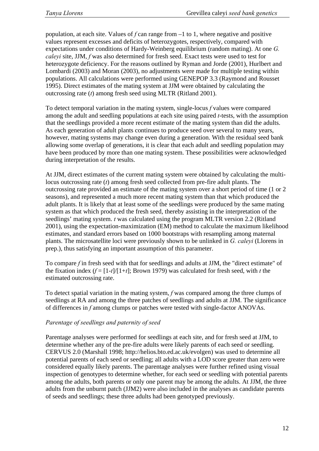population, at each site. Values of *f* can range from –1 to 1, where negative and positive values represent excesses and deficits of heterozygotes, respectively, compared with expectations under conditions of Hardy-Weinberg equilibrium (random mating). At one *G. caleyi* site, JJM, *f* was also determined for fresh seed. Exact tests were used to test for heterozygote deficiency. For the reasons outlined by Ryman and Jorde (2001), Hurlbert and Lombardi (2003) and Moran (2003), no adjustments were made for multiple testing within populations. All calculations were performed using GENEPOP 3.3 (Raymond and Rousset 1995). Direct estimates of the mating system at JJM were obtained by calculating the outcrossing rate (*t*) among fresh seed using MLTR (Ritland 2001).

To detect temporal variation in the mating system, single-locus *f* values were compared among the adult and seedling populations at each site using paired *t*-tests, with the assumption that the seedlings provided a more recent estimate of the mating system than did the adults. As each generation of adult plants continues to produce seed over several to many years, however, mating systems may change even during a generation. With the residual seed bank allowing some overlap of generations, it is clear that each adult and seedling population may have been produced by more than one mating system. These possibilities were acknowledged during interpretation of the results.

At JJM, direct estimates of the current mating system were obtained by calculating the multilocus outcrossing rate (*t*) among fresh seed collected from pre-fire adult plants. The outcrossing rate provided an estimate of the mating system over a short period of time (1 or 2 seasons), and represented a much more recent mating system than that which produced the adult plants. It is likely that at least some of the seedlings were produced by the same mating system as that which produced the fresh seed, thereby assisting in the interpretation of the seedlings' mating system. *t* was calculated using the program MLTR version 2.2 (Ritland 2001), using the expectation-maximization (EM) method to calculate the maximum likelihood estimates, and standard errors based on 1000 bootstraps with resampling among maternal plants. The microsatellite loci were previously shown to be unlinked in *G. caleyi* (Llorens in prep.), thus satisfying an important assumption of this parameter.

To compare *f* in fresh seed with that for seedlings and adults at JJM, the "direct estimate" of the fixation index  $(f = [1-t]/[1+t]$ ; Brown 1979) was calculated for fresh seed, with *t* the estimated outcrossing rate.

To detect spatial variation in the mating system, *f* was compared among the three clumps of seedlings at RA and among the three patches of seedlings and adults at JJM. The significance of differences in *f* among clumps or patches were tested with single-factor ANOVAs.

## *Parentage of seedlings and paternity of seed*

Parentage analyses were performed for seedlings at each site, and for fresh seed at JJM, to determine whether any of the pre-fire adults were likely parents of each seed or seedling. CERVUS 2.0 (Marshall 1998; http://helios.bto.ed.ac.uk/evolgen) was used to determine all potential parents of each seed or seedling; all adults with a LOD score greater than zero were considered equally likely parents. The parentage analyses were further refined using visual inspection of genotypes to determine whether, for each seed or seedling with potential parents among the adults, both parents or only one parent may be among the adults. At JJM, the three adults from the unburnt patch (JJM2) were also included in the analyses as candidate parents of seeds and seedlings; these three adults had been genotyped previously.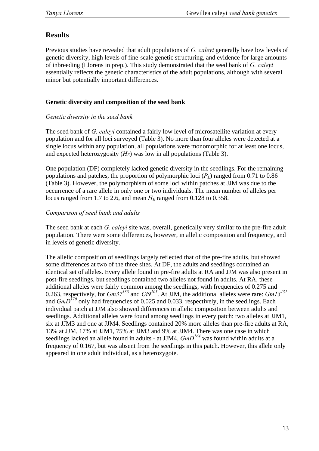# **Results**

Previous studies have revealed that adult populations of *G. caleyi* generally have low levels of genetic diversity, high levels of fine-scale genetic structuring, and evidence for large amounts of inbreeding (Llorens in prep.). This study demonstrated that the seed bank of *G. caleyi*  essentially reflects the genetic characteristics of the adult populations, although with several minor but potentially important differences.

## **Genetic diversity and composition of the seed bank**

## *Genetic diversity in the seed bank*

The seed bank of *G. caleyi* contained a fairly low level of microsatellite variation at every population and for all loci surveyed (Table 3). No more than four alleles were detected at a single locus within any population, all populations were monomorphic for at least one locus, and expected heterozygosity  $(H_E)$  was low in all populations (Table 3).

One population (DF) completely lacked genetic diversity in the seedlings. For the remaining populations and patches, the proportion of polymorphic loci  $(P<sub>L</sub>)$  ranged from 0.71 to 0.86 (Table 3). However, the polymorphism of some loci within patches at JJM was due to the occurrence of a rare allele in only one or two individuals. The mean number of alleles per locus ranged from 1.7 to 2.6, and mean  $H_F$  ranged from 0.128 to 0.358.

# *Comparison of seed bank and adults*

The seed bank at each *G. caleyi* site was, overall, genetically very similar to the pre-fire adult population. There were some differences, however, in allelic composition and frequency, and in levels of genetic diversity.

The allelic composition of seedlings largely reflected that of the pre-fire adults, but showed some differences at two of the three sites. At DF, the adults and seedlings contained an identical set of alleles. Every allele found in pre-fire adults at RA and JJM was also present in post-fire seedlings, but seedlings contained two alleles not found in adults. At RA, these additional alleles were fairly common among the seedlings, with frequencies of 0.275 and 0.263, respectively, for *Gm37<sup>138</sup>* and *Gi9205*. At JJM, the additional alleles were rare: *Gm13<sup>131</sup>* and  $GmD^{170}$  only had frequencies of 0.025 and 0.033, respectively, in the seedlings. Each individual patch at JJM also showed differences in allelic composition between adults and seedlings. Additional alleles were found among seedlings in every patch: two alleles at JJM1, six at JJM3 and one at JJM4. Seedlings contained 20% more alleles than pre-fire adults at RA, 13% at JJM, 17% at JJM1, 75% at JJM3 and 9% at JJM4. There was one case in which seedlings lacked an allele found in adults - at JJM4,  $GmD^{164}$  was found within adults at a frequency of 0.167, but was absent from the seedlings in this patch. However, this allele only appeared in one adult individual, as a heterozygote.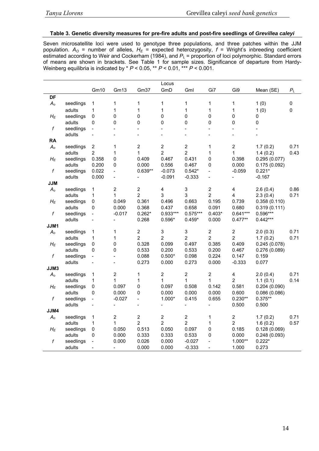#### **Table 3. Genetic diversity measures for pre-fire adults and post-fire seedlings of** *Grevillea caleyi*

Seven microsatellite loci were used to genotype three populations, and three patches within the JJM population.  $A_{\text{O}}$  = number of alleles,  $H_{\text{E}}$  = expected heterozygosity, f = Wright's inbreeding coefficient estimated according to Weir and Cockerham (1984), and  $P_L$  = proportion of loci polymorphic. Standard errors of means are shown in brackets. See Table 1 for sample sizes. Significance of departure from Hardy-Weinberg equilibria is indicated by \* *P* < 0.05, \*\* *P* < 0.01, \*\*\* *P* < 0.001.

|                    |           |                            |                  |                              | Locus                     |                           |                              |                         |                      |           |
|--------------------|-----------|----------------------------|------------------|------------------------------|---------------------------|---------------------------|------------------------------|-------------------------|----------------------|-----------|
|                    |           | Gm10                       | Gm13             | Gm37                         | GmD                       | Gml                       | Gi7                          | Gi9                     | Mean (SE)            | $P_L$     |
| DF                 |           |                            |                  |                              |                           |                           |                              |                         |                      |           |
| $A_{o}$            | seedlings | 1                          | 1                | 1                            | 1                         | 1                         | $\mathbf{1}$                 | 1                       | 1(0)                 | $\pmb{0}$ |
|                    | adults    | $\mathbf{1}$               | $\mathbf 1$      | $\mathbf{1}$                 | $\mathbf 1$               | $\mathbf{1}$              | $\mathbf 1$                  | $\mathbf 1$             | 1(0)                 | $\pmb{0}$ |
| $H_E$              | seedlings | $\mathbf 0$                | $\pmb{0}$        | 0                            | $\pmb{0}$                 | 0                         | $\mathbf 0$                  | 0                       | 0                    |           |
|                    | adults    | $\mathbf 0$                | 0                | $\mathsf 0$                  | 0                         | 0                         | $\pmb{0}$                    | $\mathbf 0$             | 0                    |           |
| $\boldsymbol{f}$   | seedlings |                            |                  | $\qquad \qquad \blacksquare$ |                           | $\overline{\phantom{a}}$  | $\blacksquare$               | $\overline{a}$          |                      |           |
|                    | adults    |                            |                  |                              |                           |                           |                              | $\overline{a}$          |                      |           |
| <b>RA</b>          |           |                            |                  |                              |                           |                           |                              |                         |                      |           |
| $A_{o}$            | seedlings | $\boldsymbol{2}$           | $\mathbf 1$      | $\mathbf 2$                  | $\overline{2}$            | $\overline{2}$            | $\mathbf 1$                  | $\overline{c}$          | 1.7(0.2)             | 0.71      |
|                    | adults    | $\overline{2}$             | 1                | $\mathbf{1}$                 | $\overline{2}$            | $\overline{2}$            | 1                            | $\mathbf{1}$            | 1.4(0.2)             | 0.43      |
| $H_E$              | seedlings | 0.358                      | 0                | 0.409                        | 0.467                     | 0.431                     | 0                            | 0.398                   | 0.295(0.077)         |           |
|                    | adults    | 0.200                      | $\mathbf 0$      | 0.000                        | 0.556                     | 0.467                     | $\pmb{0}$                    | 0.000                   | 0.175(0.092)         |           |
| $\boldsymbol{f}$   | seedlings | 0.022                      | $\overline{a}$   | $0.639**$                    | $-0.073$                  | $0.542*$                  | $\frac{1}{2}$                | $-0.059$                | $0.221*$             |           |
|                    | adults    | 0.000                      | $\overline{a}$   |                              | $-0.091$                  | $-0.333$                  | $\frac{1}{2}$                |                         | $-0.167$             |           |
| <b>JJM</b>         |           |                            |                  |                              |                           |                           |                              |                         |                      |           |
| $A_{\mathfrak{o}}$ | seedlings | $\mathbf 1$                | $\boldsymbol{2}$ | $\sqrt{2}$                   | $\overline{\mathbf{4}}$   | $\ensuremath{\mathsf{3}}$ | $\sqrt{2}$                   | 4                       | 2.6(0.4)             | 0.86      |
|                    | adults    | $\mathbf 1$                | 1                | $\overline{c}$               | 3                         | 3                         | $\overline{2}$               | 4                       | 2.3(0.4)             | 0.71      |
| $H_E$              | seedlings | $\pmb{0}$                  | 0.049            | 0.361                        | 0.496                     | 0.663                     | 0.195                        | 0.739                   | 0.358(0.110)         |           |
|                    | adults    | 0                          | 0.000            | 0.368                        | 0.437                     | 0.658                     | 0.091                        | 0.680                   | 0.319(0.111)         |           |
| f                  | seedlings | $\overline{\phantom{a}}$   | $-0.017$         | $0.262*$                     | $0.933***$                | $0.575***$                | $0.403*$                     | $0.641***$              | 0.596***             |           |
|                    | adults    |                            |                  | 0.268                        | $0.596*$                  | $0.459*$                  | 0.000                        | $0.477**$               | $0.442***$           |           |
| JJM1               | seedlings |                            | 1                | $\mathbf 2$                  | $\ensuremath{\mathsf{3}}$ | 3                         | $\sqrt{2}$                   | $\overline{c}$          |                      | 0.71      |
| $A_{o}$            | adults    | $\mathbf 1$<br>$\mathbf 1$ | 1                | $\overline{2}$               | $\overline{2}$            | $\overline{2}$            | $\overline{2}$               | $\overline{2}$          | 2.0(0.3)<br>1.7(0.2) | 0.71      |
| $H_E$              | seedlings | $\pmb{0}$                  | $\pmb{0}$        | 0.328                        | 0.099                     | 0.497                     | 0.385                        | 0.409                   | 0.245(0.078)         |           |
|                    | adults    | $\mathbf 0$                | 0                | 0.533                        | 0.200                     | 0.533                     | 0.200                        | 0.467                   | 0.276(0.089)         |           |
| f                  | seedlings |                            |                  | 0.088                        | $0.500*$                  | 0.098                     | 0.224                        | 0.147                   | 0.159                |           |
|                    | adults    |                            |                  | 0.273                        | 0.000                     | 0.273                     | 0.000                        | $-0.333$                | 0.077                |           |
| JJM3               |           |                            |                  |                              |                           |                           |                              |                         |                      |           |
| $A_{o}$            | seedlings | $\mathbf 1$                | $\boldsymbol{2}$ | 1                            | $\overline{2}$            | $\mathbf 2$               | $\sqrt{2}$                   | $\overline{\mathbf{4}}$ | 2.0(0.4)             | 0.71      |
|                    | adults    | 1                          | 1                | $\mathbf 1$                  | 1                         | $\mathbf{1}$              | 1                            | $\overline{2}$          | 1.1(0.1)             | 0.14      |
| $H_E$              | seedlings | $\pmb{0}$                  | 0.097            | 0                            | 0.097                     | 0.508                     | 0.142                        | 0.581                   | 0.204(0.090)         |           |
|                    | adults    | 0                          | 0.000            | 0                            | 0.000                     | 0.000                     | 0.000                        | 0.600                   | 0.086(0.086)         |           |
| f                  | seedlings | $\frac{1}{2}$              | $-0.027$         | $\overline{a}$               | $1.000*$                  | 0.415                     | 0.655                        | $0.230**$               | $0.375**$            |           |
|                    | adults    |                            |                  |                              |                           | $\frac{1}{2}$             | $\blacksquare$               | 0.500                   | 0.500                |           |
| JJM4               |           |                            |                  |                              |                           |                           |                              |                         |                      |           |
| $A_{o}$            | seedlings | 1                          | $\boldsymbol{2}$ | $\mathbf 2$                  | $\overline{2}$            | $\overline{2}$            | $\mathbf{1}$                 | $\overline{c}$          | 1.7(0.2)             | 0.71      |
|                    | adults    | $\mathbf 1$                | 1                | $\boldsymbol{2}$             | $\overline{c}$            | $\boldsymbol{2}$          | 1                            | $\overline{2}$          | 1.6(0.2)             | 0.57      |
| $H_E$              | seedlings | $\pmb{0}$                  | 0.050            | 0.513                        | 0.050                     | 0.097                     | 0                            | 0.185                   | 0.128(0.069)         |           |
|                    | adults    | 0                          | 0.000            | 0.333                        | 0.333                     | 0.533                     | $\pmb{0}$                    | 0.000                   | 0.248(0.093)         |           |
| f                  | seedlings |                            | 0.000            | 0.026                        | 0.000                     | $-0.027$                  | $\blacksquare$               | $1.000**$               | $0.222*$             |           |
|                    | adults    |                            |                  | 0.000                        | 0.000                     | $-0.333$                  | $\qquad \qquad \blacksquare$ | 1.000                   | 0.273                |           |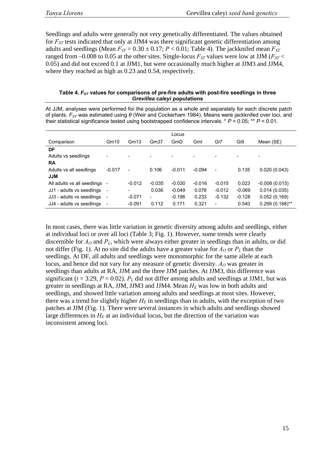Seedlings and adults were generally not very genetically differentiated. The values obtained for *FST* tests indicated that only at JJM4 was there significant genetic differentiation among adults and seedlings (Mean  $F_{ST} = 0.30 \pm 0.17$ ;  $P < 0.01$ ; Table 4). The jackknifed mean  $F_{ST}$ ranged from  $-0.008$  to 0.05 at the other sites. Single-locus  $F_{ST}$  values were low at JJM ( $F_{ST}$  < 0.05) and did not exceed 0.1 at JJM1, but were occasionally much higher at JJM3 and JJM4, where they reached as high as 0.23 and 0.54, respectively.

#### Table 4.  $F_{ST}$  values for comparisons of pre-fire adults with post-fire seedlings in three *Grevillea caleyi* **populations**

At JJM, analyses were performed for the population as a whole and separately for each discrete patch of plants. *F<sub>ST</sub>* was estimated using *θ* (Weir and Cockerham 1984). Means were jackknifed over loci, and their statistical significance tested using bootstrapped confidence intervals. \* *P* < 0.05; \*\* *P* < 0.01.

|                             |                              |          |                          | Locus    |          |          |          |                   |
|-----------------------------|------------------------------|----------|--------------------------|----------|----------|----------|----------|-------------------|
| Comparison                  | Gm10                         | Gm13     | Gm <sub>37</sub>         | GmD      | Gml      | Gi7      | Gi9      | Mean (SE)         |
| DF                          |                              |          |                          |          |          |          |          |                   |
| Adults vs seedlings         |                              |          |                          |          |          |          |          |                   |
| <b>RA</b>                   |                              |          |                          |          |          |          |          |                   |
| Adults vs all seedlings     | $-0.017$                     |          | 0.106                    | $-0.011$ | $-0.094$ |          | 0.135    | 0.020(0.043)      |
| <b>JJM</b>                  |                              |          |                          |          |          |          |          |                   |
| All adults vs all seedlings |                              | $-0.012$ | $-0.035$                 | $-0.030$ | $-0.016$ | $-0.015$ | 0.023    | $-0.008(0.015)$   |
| JJ1 - adults vs seedlings   | $\overline{\phantom{a}}$     |          | 0.036                    | $-0.049$ | 0.076    | $-0.012$ | $-0.069$ | 0.014(0.035)      |
| JJ3 - adults vs seedlings   | $\qquad \qquad \blacksquare$ | $-0.071$ | $\overline{\phantom{a}}$ | $-0.196$ | 0.233    | $-0.132$ | $-0.128$ | 0.052(0.169)      |
| JJ4 - adults vs seedlings   | $\qquad \qquad \blacksquare$ | $-0.091$ | 0.112                    | 0.171    | 0.321    | ٠        | 0.540    | $0.299(0.168)$ ** |

In most cases, there was little variation in genetic diversity among adults and seedlings, either at individual loci or over all loci (Table 3; Fig. 1). However, some trends were clearly discernible for  $A_0$  and  $P_L$ , which were always either greater in seedlings than in adults, or did not differ (Fig. 1). At no site did the adults have a greater value for  $A<sub>O</sub>$  or  $P<sub>L</sub>$  than the seedlings. At DF, all adults and seedlings were monomorphic for the same allele at each locus, and hence did not vary for any measure of genetic diversity.  $A<sub>0</sub>$  was greater in seedlings than adults at RA, JJM and the three JJM patches. At JJM3, this difference was significant ( $t = 3.29$ ,  $P = 0.02$ ).  $P<sub>L</sub>$  did not differ among adults and seedlings at JJM1, but was greater in seedlings at RA, JJM, JJM3 and JJM4. Mean  $H<sub>E</sub>$  was low in both adults and seedlings, and showed little variation among adults and seedlings at most sites. However, there was a trend for slightly higher  $H_E$  in seedlings than in adults, with the exception of two patches at JJM (Fig. 1). There were several instances in which adults and seedlings showed large differences in  $H_E$  at an individual locus, but the direction of the variation was inconsistent among loci.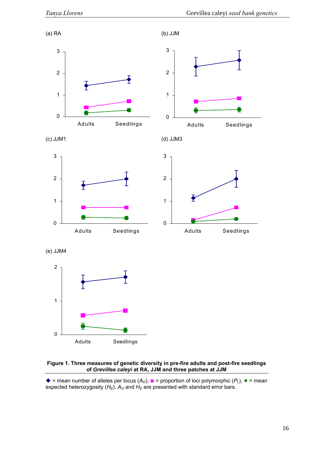

#### **ee measures of genetic diversity in pre-fire adults and post-fire seedlings Figure 1. Thr of** *Grevillea caleyi* **at RA, JJM and three patches at JJM**

 $\blacklozenge$  = mean number of alleles per locus ( $A_0$ ),  $\blacktriangleright$  = proportion of loci polymorphic ( $P_L$ ),  $\blacktriangleright$  = mean expected heterozygosity  $(H_E)$ .  $A_O$  and  $H_E$  are presented with standard error bars.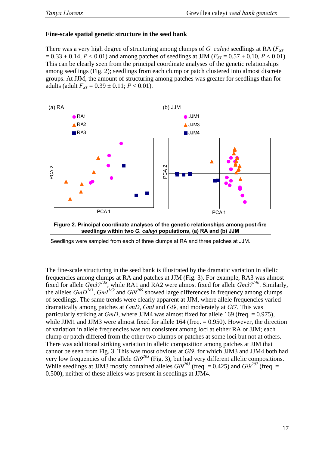## **Fine-scale spatial genetic structure in the seed bank**

There was a very high degree of structuring among clumps of *G. caleyi* seedlings at RA (*F<sub>ST</sub>*)  $= 0.33 \pm 0.14$ ,  $P < 0.01$ ) and among patches of seedlings at JJM ( $F_{ST} = 0.57 \pm 0.10$ ,  $P < 0.01$ ). This can be clearly seen from the principal coordinate analyses of the genetic relationships among seedlings (Fig. 2); seedlings from each clump or patch clustered into almost discrete groups. At JJM, the amount of structuring among patches was greater for seedlings than for adults (adult  $F_{ST} = 0.39 \pm 0.11$ ;  $P < 0.01$ ).





Seedlings were sampled from each of three clumps at RA and three patches at JJM.

The fine-scale structuring in the seed bank is illustrated by the dramatic variation in allelic frequencies among clumps at RA and patches at JJM (Fig. 3). For example, RA3 was almost fixed for allele *Gm37<sup>138</sup>*, while RA1 and RA2 were almost fixed for allele *Gm37<sup>140</sup>*. Similarly, the alleles  $GmD^{161}$ ,  $GmI^{169}$  and  $Gi9^{209}$  showed large differences in frequency among clumps of seedlings. The same trends were clearly apparent at JJM, where allele frequencies varied dramatically among patches at *GmD*, *GmI* and *Gi9*, and moderately at *Gi7*. This was particularly striking at *GmD*, where JJM4 was almost fixed for allele 169 (freq. = 0.975), while JJM1 and JJM3 were almost fixed for allele  $164$  (freq.  $= 0.950$ ). However, the direction of variation in allele frequencies was not consistent among loci at either RA or JJM; each clump or patch differed from the other two clumps or patches at some loci but not at others. There was additional striking variation in allelic composition among patches at JJM that cannot be seen from Fig. 3. This was most obvious at *Gi9*, for which JJM3 and JJM4 both had very low frequencies of the allele  $Gi^{203}$  (Fig. 3), but had very different allelic compositions. While seedlings at JJM3 mostly contained alleles  $Gi9^{205}$  (freq. = 0.425) and  $Gi9^{207}$  (freq. = 0.500), neither of these alleles was present in seedlings at JJM4.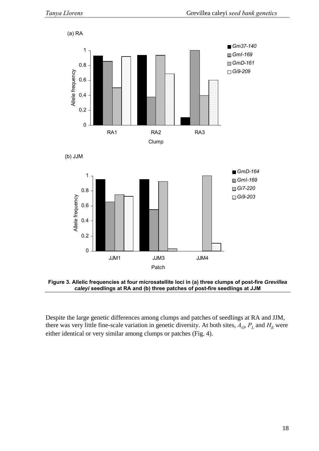

**Figure 3. Allelic frequencies at four microsatellite loci in (a) three clumps of post-fire** *Grevillea caleyi* **seedlings at RA and (b) three patches of post-fire seedlings at JJM** 

Despite the large genetic differences among clumps and patches of seedlings at RA and JJM, there was very little fine-scale variation in genetic diversity. At both sites,  $A_O$ ,  $P_L$  and  $H_E$  were either identical or very similar among clumps or patches (Fig. 4).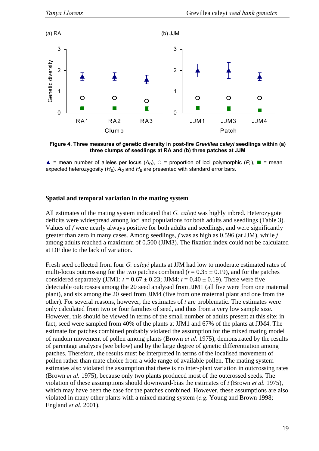



 $\triangle$  = mean number of alleles per locus ( $A_0$ ),  $\circ$  = proportion of loci polymorphic ( $P_L$ ),  $\blacksquare$  = mean expected heterozygosity  $(H_E)$ .  $A_O$  and  $H_E$  are presented with standard error bars.

## **Spatial and temporal variation in the mating system**

All estimates of the mating system indicated that *G. caleyi* was highly inbred. Heterozygote deficits were widespread among loci and populations for both adults and seedlings (Table 3). Values of *f* were nearly always positive for both adults and seedlings, and were significantly greater than zero in many cases. Among seedlings, *f* was as high as 0.596 (at JJM), while *f* among adults reached a maximum of 0.500 (JJM3). The fixation index could not be calculated at DF due to the lack of variation.

Fresh seed collected from four *G. caleyi* plants at JJM had low to moderate estimated rates of multi-locus outcrossing for the two patches combined ( $t = 0.35 \pm 0.19$ ), and for the patches considered separately (JJM1:  $t = 0.67 \pm 0.23$ ; JJM4:  $t = 0.40 \pm 0.19$ ). There were five detectable outcrosses among the 20 seed analysed from JJM1 (all five were from one maternal plant), and six among the 20 seed from JJM4 (five from one maternal plant and one from the other). For several reasons, however, the estimates of *t* are problematic. The estimates were only calculated from two or four families of seed, and thus from a very low sample size. However, this should be viewed in terms of the small number of adults present at this site: in fact, seed were sampled from 40% of the plants at JJM1 and 67% of the plants at JJM4. The estimate for patches combined probably violated the assumption for the mixed mating model of random movement of pollen among plants (Brown *et al.* 1975), demonstrated by the results of parentage analyses (see below) and by the large degree of genetic differentiation among patches. Therefore, the results must be interpreted in terms of the localised movement of pollen rather than mate choice from a wide range of available pollen. The mating system estimates also violated the assumption that there is no inter-plant variation in outcrossing rates (Brown *et al.* 1975), because only two plants produced most of the outcrossed seeds. The violation of these assumptions should downward-bias the estimates of *t* (Brown *et al.* 1975), which may have been the case for the patches combined. However, these assumptions are also violated in many other plants with a mixed mating system (*e.g.* Young and Brown 1998; England *et al.* 2001).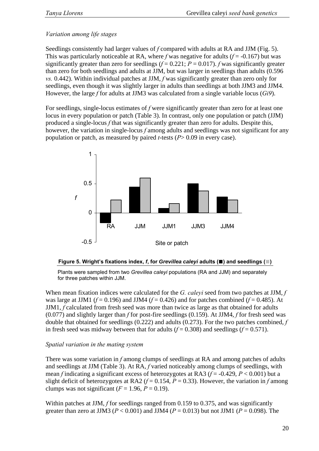# *Variation among life stages*

Seedlings consistently had larger values of *f* compared with adults at RA and JJM (Fig. 5). This was particularly noticeable at RA, where *f* was negative for adults ( $f = -0.167$ ) but was significantly greater than zero for seedlings  $(f = 0.221; P = 0.017)$ . *f* was significantly greater than zero for both seedlings and adults at JJM, but was larger in seedlings than adults (0.596 *vs.* 0.442). Within individual patches at JJM, *f* was significantly greater than zero only for seedlings, even though it was slightly larger in adults than seedlings at both JJM3 and JJM4. However, the large *f* for adults at JJM3 was calculated from a single variable locus (*Gi9*).

For seedlings, single-locus estimates of *f* were significantly greater than zero for at least one locus in every population or patch (Table 3). In contrast, only one population or patch (JJM) produced a single-locus *f* that was significantly greater than zero for adults. Despite this, however, the variation in single-locus *f* among adults and seedlings was not significant for any population or patch, as measured by paired *t*-tests (*P*> 0.09 in every case).



#### **Figure 5. Wright's fixations index,** *f***, for** *Grevillea caleyi* **adults (■) and seedlings (■)**

Plants were sampled from two *Grevillea caleyi* populations (RA and JJM) and separately for three patches within JJM.

When mean fixation indices were calculated for the *G. caleyi* seed from two patches at JJM, *f* was large at JJM1 ( $f = 0.196$ ) and JJM4 ( $f = 0.426$ ) and for patches combined ( $f = 0.485$ ). At JJM1, *f* calculated from fresh seed was more than twice as large as that obtained for adults (0.077) and slightly larger than *f* for post-fire seedlings (0.159). At JJM4, *f* for fresh seed was double that obtained for seedlings (0.222) and adults (0.273). For the two patches combined, *f* in fresh seed was midway between that for adults  $(f = 0.308)$  and seedlings  $(f = 0.571)$ .

## *Spatial variation in the mating system*

There was some variation in *f* among clumps of seedlings at RA and among patches of adults and seedlings at JJM (Table 3). At RA, *f* varied noticeably among clumps of seedlings, with mean *f* indicating a significant excess of heterozygotes at RA3 (*f* = -0.429, *P* < 0.001) but a slight deficit of heterozygotes at RA2 ( $f = 0.154$ ,  $P = 0.33$ ). However, the variation in  $f$  among clumps was not significant  $(F = 1.96, P = 0.19)$ .

Within patches at JJM, *f* for seedlings ranged from 0.159 to 0.375, and was significantly greater than zero at JJM3 ( $P < 0.001$ ) and JJM4 ( $P = 0.013$ ) but not JJM1 ( $P = 0.098$ ). The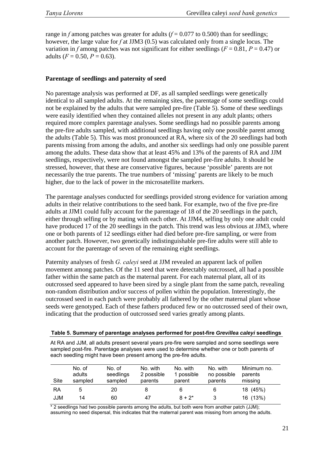range in *f* among patches was greater for adults  $(f = 0.077$  to 0.500) than for seedlings: however, the large value for *f* at JJM3 (0.5) was calculated only from a single locus. The variation in *f* among patches was not significant for either seedlings ( $F = 0.81$ ,  $P = 0.47$ ) or adults  $(F = 0.50, P = 0.63)$ .

#### **Parentage of seedlings and paternity of seed**

No parentage analysis was performed at DF, as all sampled seedlings were genetically identical to all sampled adults. At the remaining sites, the parentage of some seedlings could not be explained by the adults that were sampled pre-fire (Table 5). Some of these seedlings were easily identified when they contained alleles not present in any adult plants; others required more complex parentage analyses. Some seedlings had no possible parents among the pre-fire adults sampled, with additional seedlings having only one possible parent among the adults (Table 5). This was most pronounced at RA, where six of the 20 seedlings had both parents missing from among the adults, and another six seedlings had only one possible parent among the adults. These data show that at least 45% and 13% of the parents of RA and JJM seedlings, respectively, were not found amongst the sampled pre-fire adults. It should be stressed, however, that these are conservative figures, because 'possible' parents are not necessarily the true parents. The true numbers of 'missing' parents are likely to be much higher, due to the lack of power in the microsatellite markers.

The parentage analyses conducted for seedlings provided strong evidence for variation among adults in their relative contributions to the seed bank. For example, two of the five pre-fire adults at JJM1 could fully account for the parentage of 18 of the 20 seedlings in the patch, either through selfing or by mating with each other. At JJM4, selfing by only one adult could have produced 17 of the 20 seedlings in the patch. This trend was less obvious at JJM3, where one or both parents of 12 seedlings either had died before pre-fire sampling, or were from another patch. However, two genetically indistinguishable pre-fire adults were still able to account for the parentage of seven of the remaining eight seedlings.

Paternity analyses of fresh *G. caleyi* seed at JJM revealed an apparent lack of pollen movement among patches. Of the 11 seed that were detectably outcrossed, all had a possible father within the same patch as the maternal parent. For each maternal plant, all of its outcrossed seed appeared to have been sired by a single plant from the same patch, revealing non-random distribution and/or success of pollen within the population. Interestingly, the outcrossed seed in each patch were probably all fathered by the other maternal plant whose seeds were genotyped. Each of these fathers produced few or no outcrossed seed of their own, indicating that the production of outcrossed seed varies greatly among plants.

| Table 5. Summary of parentage analyses performed for post-fire Grevillea caleyi seedlings |  |  |  |
|-------------------------------------------------------------------------------------------|--|--|--|
|                                                                                           |  |  |  |

At RA and JJM, all adults present several years pre-fire were sampled and some seedlings were sampled post-fire. Parentage analyses were used to determine whether one or both parents of each seedling might have been present among the pre-fire adults.

| Site | No. of<br>adults<br>sampled | No. of<br>seedlings<br>sampled | No. with<br>2 possible<br>parents | No. with<br>1 possible<br>parent | No. with<br>no possible<br>parents | Minimum no.<br>parents<br>missing |
|------|-----------------------------|--------------------------------|-----------------------------------|----------------------------------|------------------------------------|-----------------------------------|
| RA   | 5                           | 20                             |                                   | 6                                | 6                                  | 18 (45%)                          |
| JJM  | 14                          | 60                             | 47                                | $8 + 2^*$                        |                                    | 16 (13%)                          |

\* 2 seedlings had two possible parents among the adults, but both were from another patch (JJM); assuming no seed dispersal, this indicates that the maternal parent was missing from among the adults.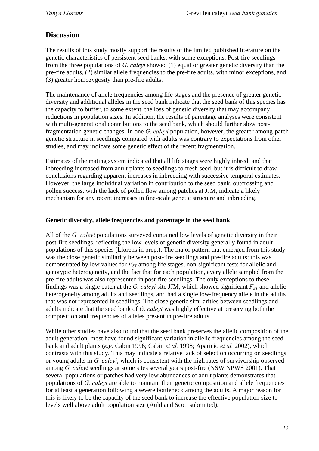# **Discussion**

The results of this study mostly support the results of the limited published literature on the genetic characteristics of persistent seed banks, with some exceptions. Post-fire seedlings from the three populations of *G. caleyi* showed (1) equal or greater genetic diversity than the pre-fire adults, (2) similar allele frequencies to the pre-fire adults, with minor exceptions, and (3) greater homozygosity than pre-fire adults.

The maintenance of allele frequencies among life stages and the presence of greater genetic diversity and additional alleles in the seed bank indicate that the seed bank of this species has the capacity to buffer, to some extent, the loss of genetic diversity that may accompany reductions in population sizes. In addition, the results of parentage analyses were consistent with multi-generational contributions to the seed bank, which should further slow postfragmentation genetic changes. In one *G. caleyi* population, however, the greater among-patch genetic structure in seedlings compared with adults was contrary to expectations from other studies, and may indicate some genetic effect of the recent fragmentation.

Estimates of the mating system indicated that all life stages were highly inbred, and that inbreeding increased from adult plants to seedlings to fresh seed, but it is difficult to draw conclusions regarding apparent increases in inbreeding with successive temporal estimates. However, the large individual variation in contribution to the seed bank, outcrossing and pollen success, with the lack of pollen flow among patches at JJM, indicate a likely mechanism for any recent increases in fine-scale genetic structure and inbreeding.

## **Genetic diversity, allele frequencies and parentage in the seed bank**

All of the *G. caleyi* populations surveyed contained low levels of genetic diversity in their post-fire seedlings, reflecting the low levels of genetic diversity generally found in adult populations of this species (Llorens in prep.). The major pattern that emerged from this study was the close genetic similarity between post-fire seedlings and pre-fire adults; this was demonstrated by low values for  $F_{ST}$  among life stages, non-significant tests for allelic and genotypic heterogeneity, and the fact that for each population, every allele sampled from the pre-fire adults was also represented in post-fire seedlings. The only exceptions to these findings was a single patch at the *G. caleyi* site JJM, which showed significant  $F_{ST}$  and allelic heterogeneity among adults and seedlings, and had a single low-frequency allele in the adults that was not represented in seedlings. The close genetic similarities between seedlings and adults indicate that the seed bank of *G. caleyi* was highly effective at preserving both the composition and frequencies of alleles present in pre-fire adults.

While other studies have also found that the seed bank preserves the allelic composition of the adult generation, most have found significant variation in allelic frequencies among the seed bank and adult plants (*e.g.* Cabin 1996; Cabin *et al.* 1998; Aparicio *et al.* 2002), which contrasts with this study. This may indicate a relative lack of selection occurring on seedlings or young adults in *G. caleyi*, which is consistent with the high rates of survivorship observed among *G. caleyi* seedlings at some sites several years post-fire (NSW NPWS 2001). That several populations or patches had very low abundances of adult plants demonstrates that populations of *G. caleyi* are able to maintain their genetic composition and allele frequencies for at least a generation following a severe bottleneck among the adults. A major reason for this is likely to be the capacity of the seed bank to increase the effective population size to levels well above adult population size (Auld and Scott submitted).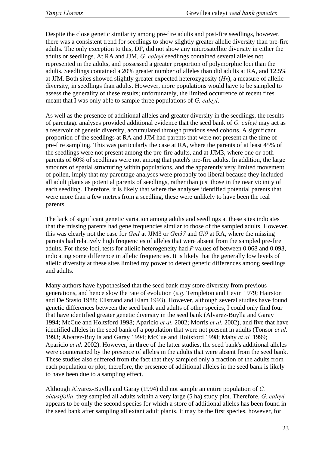Despite the close genetic similarity among pre-fire adults and post-fire seedlings, however, there was a consistent trend for seedlings to show slightly greater allelic diversity than pre-fire adults. The only exception to this, DF, did not show any microsatellite diversity in either the adults or seedlings. At RA and JJM, *G. caleyi* seedlings contained several alleles not represented in the adults, and possessed a greater proportion of polymorphic loci than the adults. Seedlings contained a 20% greater number of alleles than did adults at RA, and 12.5% at JJM. Both sites showed slightly greater expected heterozygosity  $(H_E)$ , a measure of allelic diversity, in seedlings than adults. However, more populations would have to be sampled to assess the generality of these results; unfortunately, the limited occurrence of recent fires meant that I was only able to sample three populations of *G. caleyi*.

As well as the presence of additional alleles and greater diversity in the seedlings, the results of parentage analyses provided additional evidence that the seed bank of *G. caleyi* may act as a reservoir of genetic diversity, accumulated through previous seed cohorts. A significant proportion of the seedlings at RA and JJM had parents that were not present at the time of pre-fire sampling. This was particularly the case at RA, where the parents of at least 45% of the seedlings were not present among the pre-fire adults, and at JJM3, where one or both parents of 60% of seedlings were not among that patch's pre-fire adults. In addition, the large amounts of spatial structuring within populations, and the apparently very limited movement of pollen, imply that my parentage analyses were probably too liberal because they included all adult plants as potential parents of seedlings, rather than just those in the near vicinity of each seedling. Therefore, it is likely that where the analyses identified potential parents that were more than a few metres from a seedling, these were unlikely to have been the real parents.

The lack of significant genetic variation among adults and seedlings at these sites indicates that the missing parents had gene frequencies similar to those of the sampled adults. However, this was clearly not the case for *GmI* at JJM3 or *Gm37* and *Gi9* at RA, where the missing parents had relatively high frequencies of alleles that were absent from the sampled pre-fire adults. For these loci, tests for allelic heterogeneity had *P* values of between 0.068 and 0.093, indicating some difference in allelic frequencies. It is likely that the generally low levels of allelic diversity at these sites limited my power to detect genetic differences among seedlings and adults.

Many authors have hypothesised that the seed bank may store diversity from previous generations, and hence slow the rate of evolution (*e.g.* Templeton and Levin 1979; Hairston and De Stasio 1988; Ellstrand and Elam 1993). However, although several studies have found genetic differences between the seed bank and adults of other species, I could only find four that have identified greater genetic diversity in the seed bank (Alvarez-Buylla and Garay 1994; McCue and Holtsford 1998; Aparicio *et al.* 2002; Morris *et al.* 2002), and five that have identified alleles in the seed bank of a population that were not present in adults (Tonsor *et al.* 1993; Alvarez-Buylla and Garay 1994; McCue and Holtsford 1998; Mahy *et al.* 1999; Aparicio *et al.* 2002). However, in three of the latter studies, the seed bank's additional alleles were counteracted by the presence of alleles in the adults that were absent from the seed bank. These studies also suffered from the fact that they sampled only a fraction of the adults from each population or plot; therefore, the presence of additional alleles in the seed bank is likely to have been due to a sampling effect.

Although Alvarez-Buylla and Garay (1994) did not sample an entire population of *C. obtusifolia*, they sampled all adults within a very large (5 ha) study plot. Therefore, *G. caleyi* appears to be only the second species for which a store of additional alleles has been found in the seed bank after sampling all extant adult plants. It may be the first species, however, for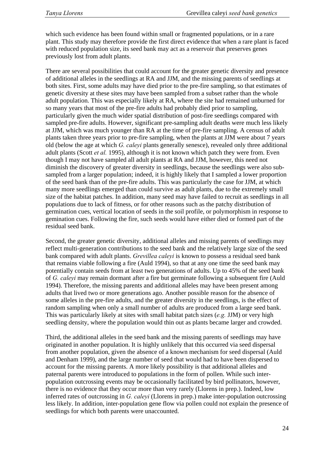which such evidence has been found within small or fragmented populations, or in a rare plant. This study may therefore provide the first direct evidence that when a rare plant is faced with reduced population size, its seed bank may act as a reservoir that preserves genes previously lost from adult plants.

There are several possibilities that could account for the greater genetic diversity and presence of additional alleles in the seedlings at RA and JJM, and the missing parents of seedlings at both sites. First, some adults may have died prior to the pre-fire sampling, so that estimates of genetic diversity at these sites may have been sampled from a subset rather than the whole adult population. This was especially likely at RA, where the site had remained unburned for so many years that most of the pre-fire adults had probably died prior to sampling, particularly given the much wider spatial distribution of post-fire seedlings compared with sampled pre-fire adults. However, significant pre-sampling adult deaths were much less likely at JJM, which was much younger than RA at the time of pre-fire sampling. A census of adult plants taken three years prior to pre-fire sampling, when the plants at JJM were about 7 years old (below the age at which *G. caleyi* plants generally senesce), revealed only three additional adult plants (Scott *et al.* 1995), although it is not known which patch they were from. Even though I may not have sampled all adult plants at RA and JJM, however, this need not diminish the discovery of greater diversity in seedlings, because the seedlings were also subsampled from a larger population; indeed, it is highly likely that I sampled a lower proportion of the seed bank than of the pre-fire adults. This was particularly the case for JJM, at which many more seedlings emerged than could survive as adult plants, due to the extremely small size of the habitat patches. In addition, many seed may have failed to recruit as seedlings in all populations due to lack of fitness, or for other reasons such as the patchy distribution of germination cues, vertical location of seeds in the soil profile, or polymorphism in response to gemination cues. Following the fire, such seeds would have either died or formed part of the residual seed bank.

Second, the greater genetic diversity, additional alleles and missing parents of seedlings may reflect multi-generation contributions to the seed bank and the relatively large size of the seed bank compared with adult plants. *Grevillea caleyi* is known to possess a residual seed bank that remains viable following a fire (Auld 1994), so that at any one time the seed bank may potentially contain seeds from at least two generations of adults. Up to 45% of the seed bank of *G. caleyi* may remain dormant after a fire but germinate following a subsequent fire (Auld 1994). Therefore, the missing parents and additional alleles may have been present among adults that lived two or more generations ago. Another possible reason for the absence of some alleles in the pre-fire adults, and the greater diversity in the seedlings, is the effect of random sampling when only a small number of adults are produced from a large seed bank. This was particularly likely at sites with small habitat patch sizes (*e.g.* JJM) or very high seedling density, where the population would thin out as plants became larger and crowded.

Third, the additional alleles in the seed bank and the missing parents of seedlings may have originated in another population. It is highly unlikely that this occurred via seed dispersal from another population, given the absence of a known mechanism for seed dispersal (Auld and Denham 1999), and the large number of seed that would had to have been dispersed to account for the missing parents. A more likely possibility is that additional alleles and paternal parents were introduced to populations in the form of pollen. While such interpopulation outcrossing events may be occasionally facilitated by bird pollinators, however, there is no evidence that they occur more than very rarely (Llorens in prep.). Indeed, low inferred rates of outcrossing in *G. caleyi* (Llorens in prep.) make inter-population outcrossing less likely. In addition, inter-population gene flow via pollen could not explain the presence of seedlings for which both parents were unaccounted.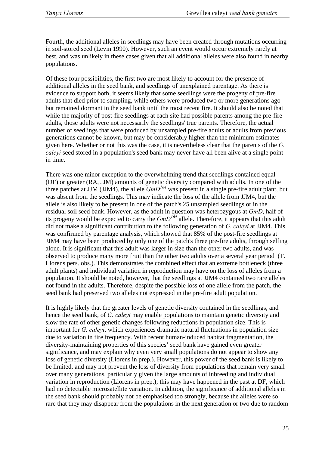Fourth, the additional alleles in seedlings may have been created through mutations occurring in soil-stored seed (Levin 1990). However, such an event would occur extremely rarely at best, and was unlikely in these cases given that all additional alleles were also found in nearby populations.

Of these four possibilities, the first two are most likely to account for the presence of additional alleles in the seed bank, and seedlings of unexplained parentage. As there is evidence to support both, it seems likely that some seedlings were the progeny of pre-fire adults that died prior to sampling, while others were produced two or more generations ago but remained dormant in the seed bank until the most recent fire. It should also be noted that while the majority of post-fire seedlings at each site had possible parents among the pre-fire adults, those adults were not necessarily the seedlings' true parents. Therefore, the actual number of seedlings that were produced by unsampled pre-fire adults or adults from previous generations cannot be known, but may be considerably higher than the minimum estimates given here. Whether or not this was the case, it is nevertheless clear that the parents of the *G. caleyi* seed stored in a population's seed bank may never have all been alive at a single point in time.

There was one minor exception to the overwhelming trend that seedlings contained equal (DF) or greater (RA, JJM) amounts of genetic diversity compared with adults. In one of the three patches at  $JJM$  ( $JJM$ 4), the allele  $GmD^{164}$  was present in a single pre-fire adult plant, but was absent from the seedlings. This may indicate the loss of the allele from JJM4, but the allele is also likely to be present in one of the patch's 25 unsampled seedlings or in the residual soil seed bank. However, as the adult in question was heterozygous at *GmD*, half of its progeny would be expected to carry the *GmD164* allele. Therefore, it appears that this adult did not make a significant contribution to the following generation of *G. caleyi* at JJM4. This was confirmed by parentage analysis, which showed that 85% of the post-fire seedlings at JJM4 may have been produced by only one of the patch's three pre-fire adults, through selfing alone. It is significant that this adult was larger in size than the other two adults, and was observed to produce many more fruit than the other two adults over a several year period (T. Llorens pers. obs.). This demonstrates the combined effect that an extreme bottleneck (three adult plants) and individual variation in reproduction may have on the loss of alleles from a population. It should be noted, however, that the seedlings at JJM4 contained two rare alleles not found in the adults. Therefore, despite the possible loss of one allele from the patch, the seed bank had preserved two alleles not expressed in the pre-fire adult population.

It is highly likely that the greater levels of genetic diversity contained in the seedlings, and hence the seed bank, of *G. caleyi* may enable populations to maintain genetic diversity and slow the rate of other genetic changes following reductions in population size. This is important for *G. caleyi*, which experiences dramatic natural fluctuations in population size due to variation in fire frequency. With recent human-induced habitat fragmentation, the diversity-maintaining properties of this species' seed bank have gained even greater significance, and may explain why even very small populations do not appear to show any loss of genetic diversity (Llorens in prep.). However, this power of the seed bank is likely to be limited, and may not prevent the loss of diversity from populations that remain very small over many generations, particularly given the large amounts of inbreeding and individual variation in reproduction (Llorens in prep.); this may have happened in the past at DF, which had no detectable microsatellite variation. In addition, the significance of additional alleles in the seed bank should probably not be emphasised too strongly, because the alleles were so rare that they may disappear from the populations in the next generation or two due to random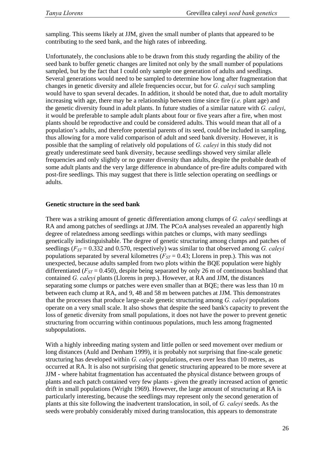sampling. This seems likely at JJM, given the small number of plants that appeared to be contributing to the seed bank, and the high rates of inbreeding.

Unfortunately, the conclusions able to be drawn from this study regarding the ability of the seed bank to buffer genetic changes are limited not only by the small number of populations sampled, but by the fact that I could only sample one generation of adults and seedlings. Several generations would need to be sampled to determine how long after fragmentation that changes in genetic diversity and allele frequencies occur, but for *G. caleyi* such sampling would have to span several decades. In addition, it should be noted that, due to adult mortality increasing with age, there may be a relationship between time since fire (*i.e.* plant age) and the genetic diversity found in adult plants. In future studies of a similar nature with *G. caleyi*, it would be preferable to sample adult plants about four or five years after a fire, when most plants should be reproductive and could be considered adults. This would mean that all of a population's adults, and therefore potential parents of its seed, could be included in sampling, thus allowing for a more valid comparison of adult and seed bank diversity. However, it is possible that the sampling of relatively old populations of *G. caleyi* in this study did not greatly underestimate seed bank diversity, because seedlings showed very similar allele frequencies and only slightly or no greater diversity than adults, despite the probable death of some adult plants and the very large difference in abundance of pre-fire adults compared with post-fire seedlings. This may suggest that there is little selection operating on seedlings or adults.

#### **Genetic structure in the seed bank**

There was a striking amount of genetic differentiation among clumps of *G. caleyi* seedlings at RA and among patches of seedlings at JJM. The PCoA analyses revealed an apparently high degree of relatedness among seedlings within patches or clumps, with many seedlings genetically indistinguishable. The degree of genetic structuring among clumps and patches of seedlings (*FST* = 0.332 and 0.570, respectively) was similar to that observed among *G. caleyi*  populations separated by several kilometres  $(F_{ST} = 0.43;$  Llorens in prep.). This was not unexpected, because adults sampled from two plots within the BQE population were highly differentiated ( $F_{ST}$  = 0.450), despite being separated by only 26 m of continuous bushland that contained *G. caleyi* plants (Llorens in prep.). However, at RA and JJM, the distances separating some clumps or patches were even smaller than at BQE; there was less than 10 m between each clump at RA, and 9, 48 and 58 m between patches at JJM. This demonstrates that the processes that produce large-scale genetic structuring among *G. caleyi* populations operate on a very small scale. It also shows that despite the seed bank's capacity to prevent the loss of genetic diversity from small populations, it does not have the power to prevent genetic structuring from occurring within continuous populations, much less among fragmented subpopulations.

With a highly inbreeding mating system and little pollen or seed movement over medium or long distances (Auld and Denham 1999), it is probably not surprising that fine-scale genetic structuring has developed within *G. caleyi* populations, even over less than 10 metres, as occurred at RA. It is also not surprising that genetic structuring appeared to be more severe at JJM - where habitat fragmentation has accentuated the physical distance between groups of plants and each patch contained very few plants - given the greatly increased action of genetic drift in small populations (Wright 1969). However, the large amount of structuring at RA is particularly interesting, because the seedlings may represent only the second generation of plants at this site following the inadvertent translocation, in soil, of *G. caleyi* seeds. As the seeds were probably considerably mixed during translocation, this appears to demonstrate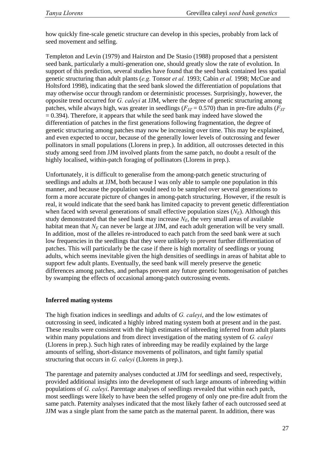how quickly fine-scale genetic structure can develop in this species, probably from lack of seed movement and selfing.

Templeton and Levin (1979) and Hairston and De Stasio (1988) proposed that a persistent seed bank, particularly a multi-generation one, should greatly slow the rate of evolution. In support of this prediction, several studies have found that the seed bank contained less spatial genetic structuring than adult plants (*e.g.* Tonsor *et al.* 1993; Cabin *et al.* 1998; McCue and Holtsford 1998), indicating that the seed bank slowed the differentiation of populations that may otherwise occur through random or deterministic processes. Surprisingly, however, the opposite trend occurred for *G. caleyi* at JJM, where the degree of genetic structuring among patches, while always high, was greater in seedlings ( $F_{ST}$  = 0.570) than in pre-fire adults ( $F_{ST}$ )  $= 0.394$ ). Therefore, it appears that while the seed bank may indeed have slowed the differentiation of patches in the first generations following fragmentation, the degree of genetic structuring among patches may now be increasing over time. This may be explained, and even expected to occur, because of the generally lower levels of outcrossing and fewer pollinators in small populations (Llorens in prep.). In addition, all outcrosses detected in this study among seed from JJM involved plants from the same patch, no doubt a result of the highly localised, within-patch foraging of pollinators (Llorens in prep.).

Unfortunately, it is difficult to generalise from the among-patch genetic structuring of seedlings and adults at JJM, both because I was only able to sample one population in this manner, and because the population would need to be sampled over several generations to form a more accurate picture of changes in among-patch structuring. However, if the result is real, it would indicate that the seed bank has limited capacity to prevent genetic differentiation when faced with several generations of small effective population sizes  $(N_F)$ . Although this study demonstrated that the seed bank may increase  $N_E$ , the very small areas of available habitat mean that  $N_E$  can never be large at JJM, and each adult generation will be very small. In addition, most of the alleles re-introduced to each patch from the seed bank were at such low frequencies in the seedlings that they were unlikely to prevent further differentiation of patches. This will particularly be the case if there is high mortality of seedlings or young adults, which seems inevitable given the high densities of seedlings in areas of habitat able to support few adult plants. Eventually, the seed bank will merely preserve the genetic differences among patches, and perhaps prevent any future genetic homogenisation of patches by swamping the effects of occasional among-patch outcrossing events.

## **Inferred mating systems**

The high fixation indices in seedlings and adults of *G. caleyi*, and the low estimates of outcrossing in seed, indicated a highly inbred mating system both at present and in the past. These results were consistent with the high estimates of inbreeding inferred from adult plants within many populations and from direct investigation of the mating system of *G. caleyi* (Llorens in prep.). Such high rates of inbreeding may be readily explained by the large amounts of selfing, short-distance movements of pollinators, and tight family spatial structuring that occurs in *G. caleyi* (Llorens in prep.).

The parentage and paternity analyses conducted at JJM for seedlings and seed, respectively, provided additional insights into the development of such large amounts of inbreeding within populations of *G. caleyi*. Parentage analyses of seedlings revealed that within each patch, most seedlings were likely to have been the selfed progeny of only one pre-fire adult from the same patch. Paternity analyses indicated that the most likely father of each outcrossed seed at JJM was a single plant from the same patch as the maternal parent. In addition, there was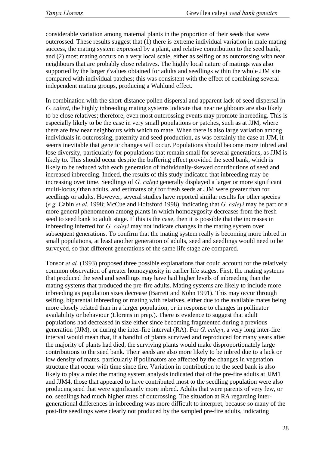considerable variation among maternal plants in the proportion of their seeds that were outcrossed. These results suggest that (1) there is extreme individual variation in male mating success, the mating system expressed by a plant, and relative contribution to the seed bank, and (2) most mating occurs on a very local scale, either as selfing or as outcrossing with near neighbours that are probably close relatives. The highly local nature of matings was also supported by the larger *f* values obtained for adults and seedlings within the whole JJM site compared with individual patches; this was consistent with the effect of combining several independent mating groups, producing a Wahlund effect.

In combination with the short-distance pollen dispersal and apparent lack of seed dispersal in *G. caleyi*, the highly inbreeding mating systems indicate that near neighbours are also likely to be close relatives; therefore, even most outcrossing events may promote inbreeding. This is especially likely to be the case in very small populations or patches, such as at JJM, where there are few near neighbours with which to mate. When there is also large variation among individuals in outcrossing, paternity and seed production, as was certainly the case at JJM, it seems inevitable that genetic changes will occur. Populations should become more inbred and lose diversity, particularly for populations that remain small for several generations, as JJM is likely to. This should occur despite the buffering effect provided the seed bank, which is likely to be reduced with each generation of individually-skewed contributions of seed and increased inbreeding. Indeed, the results of this study indicated that inbreeding may be increasing over time. Seedlings of *G. caleyi* generally displayed a larger or more significant multi-locus *f* than adults, and estimates of *f* for fresh seeds at JJM were greater than for seedlings or adults. However, several studies have reported similar results for other species (*e.g.* Cabin *et al.* 1998; McCue and Holtsford 1998), indicating that *G. caleyi* may be part of a more general phenomenon among plants in which homozygosity decreases from the fresh seed to seed bank to adult stage. If this is the case, then it is possible that the increases in inbreeding inferred for *G. caleyi* may not indicate changes in the mating system over subsequent generations. To confirm that the mating system really is becoming more inbred in small populations, at least another generation of adults, seed and seedlings would need to be surveyed, so that different generations of the same life stage are compared.

Tonsor *et al.* (1993) proposed three possible explanations that could account for the relatively common observation of greater homozygosity in earlier life stages. First, the mating systems that produced the seed and seedlings may have had higher levels of inbreeding than the mating systems that produced the pre-fire adults. Mating systems are likely to include more inbreeding as population sizes decrease (Barrett and Kohn 1991). This may occur through selfing, biparental inbreeding or mating with relatives, either due to the available mates being more closely related than in a larger population, or in response to changes in pollinator availability or behaviour (Llorens in prep.). There is evidence to suggest that adult populations had decreased in size either since becoming fragmented during a previous generation (JJM), or during the inter-fire interval (RA). For *G. caleyi*, a very long inter-fire interval would mean that, if a handful of plants survived and reproduced for many years after the majority of plants had died, the surviving plants would make disproportionately large contributions to the seed bank. Their seeds are also more likely to be inbred due to a lack or low density of mates, particularly if pollinators are affected by the changes in vegetation structure that occur with time since fire. Variation in contribution to the seed bank is also likely to play a role: the mating system analysis indicated that of the pre-fire adults at JJM1 and JJM4, those that appeared to have contributed most to the seedling population were also producing seed that were significantly more inbred. Adults that were parents of very few, or no, seedlings had much higher rates of outcrossing. The situation at RA regarding intergenerational differences in inbreeding was more difficult to interpret, because so many of the post-fire seedlings were clearly not produced by the sampled pre-fire adults, indicating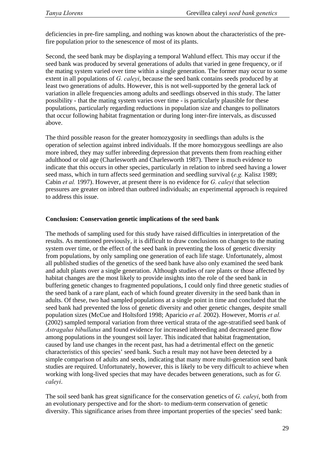deficiencies in pre-fire sampling, and nothing was known about the characteristics of the prefire population prior to the senescence of most of its plants.

Second, the seed bank may be displaying a temporal Wahlund effect. This may occur if the seed bank was produced by several generations of adults that varied in gene frequency, or if the mating system varied over time within a single generation. The former may occur to some extent in all populations of *G. caleyi*, because the seed bank contains seeds produced by at least two generations of adults. However, this is not well-supported by the general lack of variation in allele frequencies among adults and seedlings observed in this study. The latter possibility - that the mating system varies over time - is particularly plausible for these populations, particularly regarding reductions in population size and changes to pollinators that occur following habitat fragmentation or during long inter-fire intervals, as discussed above.

The third possible reason for the greater homozygosity in seedlings than adults is the operation of selection against inbred individuals. If the more homozygous seedlings are also more inbred, they may suffer inbreeding depression that prevents them from reaching either adulthood or old age (Charlesworth and Charlesworth 1987). There is much evidence to indicate that this occurs in other species, particularly in relation to inbred seed having a lower seed mass, which in turn affects seed germination and seedling survival (*e.g.* Kalisz 1989; Cabin *et al.* 1997). However, at present there is no evidence for *G. caleyi* that selection pressures are greater on inbred than outbred individuals; an experimental approach is required to address this issue.

#### **Conclusion: Conservation genetic implications of the seed bank**

The methods of sampling used for this study have raised difficulties in interpretation of the results. As mentioned previously, it is difficult to draw conclusions on changes to the mating system over time, or the effect of the seed bank in preventing the loss of genetic diversity from populations, by only sampling one generation of each life stage. Unfortunately, almost all published studies of the genetics of the seed bank have also only examined the seed bank and adult plants over a single generation. Although studies of rare plants or those affected by habitat changes are the most likely to provide insights into the role of the seed bank in buffering genetic changes to fragmented populations, I could only find three genetic studies of the seed bank of a rare plant, each of which found greater diversity in the seed bank than in adults. Of these, two had sampled populations at a single point in time and concluded that the seed bank had prevented the loss of genetic diversity and other genetic changes, despite small population sizes (McCue and Holtsford 1998; Aparicio *et al.* 2002). However, Morris *et al.* (2002) sampled temporal variation from three vertical strata of the age-stratified seed bank of *Astragalus bibullatus* and found evidence for increased inbreeding and decreased gene flow among populations in the youngest soil layer. This indicated that habitat fragmentation, caused by land use changes in the recent past, has had a detrimental effect on the genetic characteristics of this species' seed bank. Such a result may not have been detected by a simple comparison of adults and seeds, indicating that many more multi-generation seed bank studies are required. Unfortunately, however, this is likely to be very difficult to achieve when working with long-lived species that may have decades between generations, such as for *G. caleyi*.

The soil seed bank has great significance for the conservation genetics of *G. caleyi*, both from an evolutionary perspective and for the short- to medium-term conservation of genetic diversity. This significance arises from three important properties of the species' seed bank: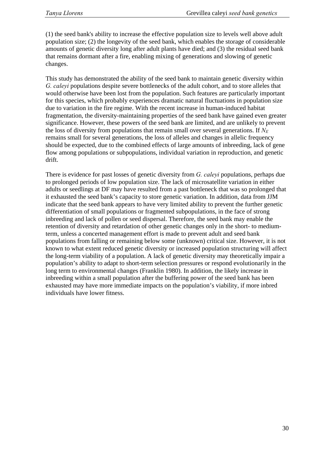(1) the seed bank's ability to increase the effective population size to levels well above adult population size; (2) the longevity of the seed bank, which enables the storage of considerable amounts of genetic diversity long after adult plants have died; and (3) the residual seed bank that remains dormant after a fire, enabling mixing of generations and slowing of genetic changes.

This study has demonstrated the ability of the seed bank to maintain genetic diversity within *G. caleyi* populations despite severe bottlenecks of the adult cohort, and to store alleles that would otherwise have been lost from the population. Such features are particularly important for this species, which probably experiences dramatic natural fluctuations in population size due to variation in the fire regime. With the recent increase in human-induced habitat fragmentation, the diversity-maintaining properties of the seed bank have gained even greater significance. However, these powers of the seed bank are limited, and are unlikely to prevent the loss of diversity from populations that remain small over several generations. If  $N_E$ remains small for several generations, the loss of alleles and changes in allelic frequency should be expected, due to the combined effects of large amounts of inbreeding, lack of gene flow among populations or subpopulations, individual variation in reproduction, and genetic drift.

There is evidence for past losses of genetic diversity from *G. caleyi* populations, perhaps due to prolonged periods of low population size. The lack of microsatellite variation in either adults or seedlings at DF may have resulted from a past bottleneck that was so prolonged that it exhausted the seed bank's capacity to store genetic variation. In addition, data from JJM indicate that the seed bank appears to have very limited ability to prevent the further genetic differentiation of small populations or fragmented subpopulations, in the face of strong inbreeding and lack of pollen or seed dispersal. Therefore, the seed bank may enable the retention of diversity and retardation of other genetic changes only in the short- to mediumterm, unless a concerted management effort is made to prevent adult and seed bank populations from falling or remaining below some (unknown) critical size. However, it is not known to what extent reduced genetic diversity or increased population structuring will affect the long-term viability of a population. A lack of genetic diversity may theoretically impair a population's ability to adapt to short-term selection pressures or respond evolutionarily in the long term to environmental changes (Franklin 1980). In addition, the likely increase in inbreeding within a small population after the buffering power of the seed bank has been exhausted may have more immediate impacts on the population's viability, if more inbred individuals have lower fitness.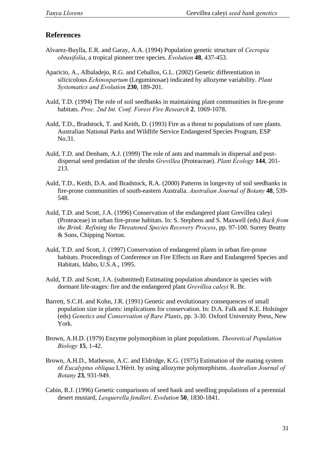# **References**

- Alvarez-Buylla, E.R. and Garay, A.A. (1994) Population genetic structure of *Cecropia obtusifolia*, a tropical pioneer tree species. *Evolution* **48**, 437-453.
- Aparicio, A., Albaladejo, R.G. and Ceballos, G.L. (2002) Genetic differentiation in silicicolous *Echinospartum* (Leguminosae) indicated by allozyme variability. *Plant Systematics and Evolution* **230**, 189-201.
- Auld, T.D. (1994) The role of soil seedbanks in maintaining plant communities in fire-prone habitats. *Proc. 2nd Int. Conf. Forest Fire Research* **2**, 1069-1078.
- Auld, T.D., Bradstock, T. and Keith, D. (1993) Fire as a threat to populations of rare plants. Australian National Parks and Wildlife Service Endangered Species Program, ESP No.31.
- Auld, T.D. and Denham, A.J. (1999) The role of ants and mammals in dispersal and postdispersal seed predation of the shrubs *Grevillea* (Proteaceae). *Plant Ecology* **144**, 201- 213.
- Auld, T.D., Keith, D.A. and Bradstock, R.A. (2000) Patterns in longevity of soil seedbanks in fire-prone communities of south-eastern Australia. *Australian Journal of Botany* **48**, 539- 548.
- Auld, T.D. and Scott, J.A. (1996) Conservation of the endangered plant Grevillea caleyi (Proteaceae) in urban fire-prone habitats. In: S. Stephens and S. Maxwell (eds) *Back from the Brink: Refining the Threatened Species Recovery Process*, pp. 97-100. Surrey Beatty & Sons, Chipping Norton.
- Auld, T.D. and Scott, J. (1997) Conservation of endangered plants in urban fire-prone habitats. Proceedings of Conference on Fire Effects on Rare and Endangered Species and Habitats, Idaho, U.S.A., 1995.
- Auld, T.D. and Scott, J.A. (submitted) Estimating population abundance in species with dormant life-stages: fire and the endangered plant *Grevillea caleyi* R. Br.
- Barrett, S.C.H. and Kohn, J.R. (1991) Genetic and evolutionary consequences of small population size in plants: implications for conservation. In: D.A. Falk and K.E. Holsinger (eds) *Genetics and Conservation of Rare Plants*, pp. 3-30. Oxford University Press, New York.
- Brown, A.H.D. (1979) Enzyme polymorphism in plant populations. *Theoretical Population Biology* **15**, 1-42.
- Brown, A.H.D., Matheson, A.C. and Eldridge, K.G. (1975) Estimation of the mating system of *Eucalyptus obliqua* L'Hérit. by using allozyme polymorphisms. *Australian Journal of Botany* **23**, 931-949.
- Cabin, R.J. (1996) Genetic comparisons of seed bank and seedling populations of a perennial desert mustard, *Lesquerella fendleri*. *Evolution* **50**, 1830-1841.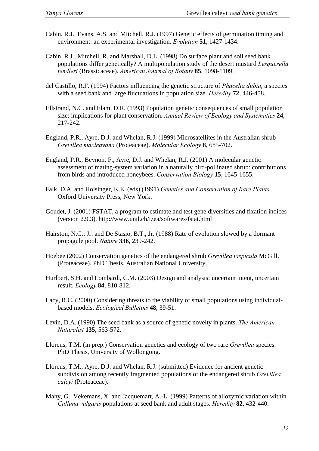- Cabin, R.J., Evans, A.S. and Mitchell, R.J. (1997) Genetic effects of germination timing and environment: an experimental investigation. *Evolution* **51**, 1427-1434.
- Cabin, R.J., Mitchell, R. and Marshall, D.L. (1998) Do surface plant and soil seed bank populations differ genetically? A multipopulation study of the desert mustard *Lesquerella fendleri* (Brassicaceae). *American Journal of Botany* **85**, 1098-1109.
- del Castillo, R.F. (1994) Factors influencing the genetic structure of *Phacelia dubia*, a species with a seed bank and large fluctuations in population size. *Heredity* **72**, 446-458.
- Ellstrand, N.C. and Elam, D.R. (1993) Population genetic consequences of small population size: implications for plant conservation. *Annual Review of Ecology and Systematics* **24**, 217-242.
- England, P.R., Ayre, D.J. and Whelan, R.J. (1999) Microsatellites in the Australian shrub *Grevillea macleayana* (Proteaceae). *Molecular Ecology* **8**, 685-702.
- England, P.R., Beynon, F., Ayre, D.J. and Whelan, R.J. (2001) A molecular genetic assessment of mating-system variation in a naturally bird-pollinated shrub: contributions from birds and introduced honeybees. *Conservation Biology* **15**, 1645-1655.
- Falk, D.A. and Holsinger, K.E. (eds) (1991) *Genetics and Conservation of Rare Plants*. Oxford University Press, New York.
- Goudet, J. (2001) FSTAT, a program to estimate and test gene diversities and fixation indices (version 2.9.3). http://www.unil.ch/izea/softwares/fstat.html
- Hairston, N.G., Jr. and De Stasio, B.T., Jr. (1988) Rate of evolution slowed by a dormant propagule pool. *Nature* **336**, 239-242.
- Hoebee (2002) Conservation genetics of the endangered shrub *Grevillea iaspicula* McGill. (Proteaceae). PhD Thesis, Australian National University.
- Hurlbert, S.H. and Lombardi, C.M. (2003) Design and analysis: uncertain intent, uncertain result. *Ecology* **84**, 810-812.
- Lacy, R.C. (2000) Considering threats to the viability of small populations using individualbased models. *Ecological Bulletins* **48**, 39-51.
- Levin, D.A. (1990) The seed bank as a source of genetic novelty in plants. *The American Naturalist* **135**, 563-572.
- Llorens, T.M. (in prep.) Conservation genetics and ecology of two rare *Grevillea* species. PhD Thesis, University of Wollongong.
- Llorens, T.M., Ayre, D.J. and Whelan, R.J. (submitted) Evidence for ancient genetic subdivision among recently fragmented populations of the endangered shrub *Grevillea caleyi* (Proteaceae).
- Mahy, G., Vekemans, X. and Jacquemart, A.-L. (1999) Patterns of allozymic variation within *Calluna vulgaris* populations at seed bank and adult stages. *Heredity* **82**, 432-440.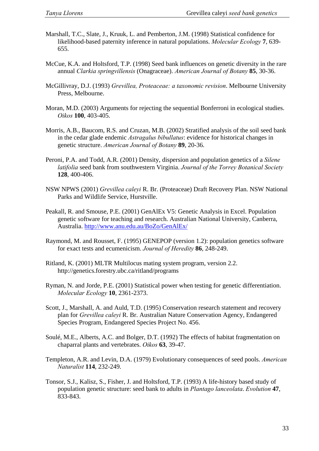- Marshall, T.C., Slate, J., Kruuk, L. and Pemberton, J.M. (1998) Statistical confidence for likelihood-based paternity inference in natural populations. *Molecular Ecology* **7**, 639- 655.
- McCue, K.A. and Holtsford, T.P. (1998) Seed bank influences on genetic diversity in the rare annual *Clarkia springvillensis* (Onagraceae). *American Journal of Botany* **85**, 30-36.
- McGillivray, D.J. (1993) *Grevillea, Proteaceae: a taxonomic revision*. Melbourne University Press, Melbourne.
- Moran, M.D. (2003) Arguments for rejecting the sequential Bonferroni in ecological studies. *Oikos* **100**, 403-405.
- Morris, A.B., Baucom, R.S. and Cruzan, M.B. (2002) Stratified analysis of the soil seed bank in the cedar glade endemic *Astragalus bibullatus*: evidence for historical changes in genetic structure. *American Journal of Botany* **89**, 20-36.
- Peroni, P.A. and Todd, A.R. (2001) Density, dispersion and population genetics of a *Silene latifolia* seed bank from southwestern Virginia. *Journal of the Torrey Botanical Society*  **128**, 400-406.
- NSW NPWS (2001) *Grevillea caleyi* R. Br. (Proteaceae) Draft Recovery Plan. NSW National Parks and Wildlife Service, Hurstville.
- Peakall, R. and Smouse, P.E. (2001) GenAlEx V5: Genetic Analysis in Excel. Population genetic software for teaching and research. Australian National University, Canberra, Australia. <http://www.anu.edu.au/BoZo/GenAlEx/>
- Raymond, M. and Rousset, F. (1995) GENEPOP (version 1.2): population genetics software for exact tests and ecumenicism. *Journal of Heredity* **86**, 248-249.
- Ritland, K. (2001) MLTR Multilocus mating system program, version 2.2. http://genetics.forestry.ubc.ca/ritland/programs
- Ryman, N. and Jorde, P.E. (2001) Statistical power when testing for genetic differentiation. *Molecular Ecology* **10**, 2361-2373.
- Scott, J., Marshall, A. and Auld, T.D. (1995) Conservation research statement and recovery plan for *Grevillea caleyi* R. Br. Australian Nature Conservation Agency, Endangered Species Program, Endangered Species Project No. 456.
- Soulé, M.E., Alberts, A.C. and Bolger, D.T. (1992) The effects of habitat fragmentation on chaparral plants and vertebrates. *Oikos* **63**, 39-47.
- Templeton, A.R. and Levin, D.A. (1979) Evolutionary consequences of seed pools. *American Naturalist* **114**, 232-249.
- Tonsor, S.J., Kalisz, S., Fisher, J. and Holtsford, T.P. (1993) A life-history based study of population genetic structure: seed bank to adults in *Plantago lanceolata*. *Evolution* **47**, 833-843.